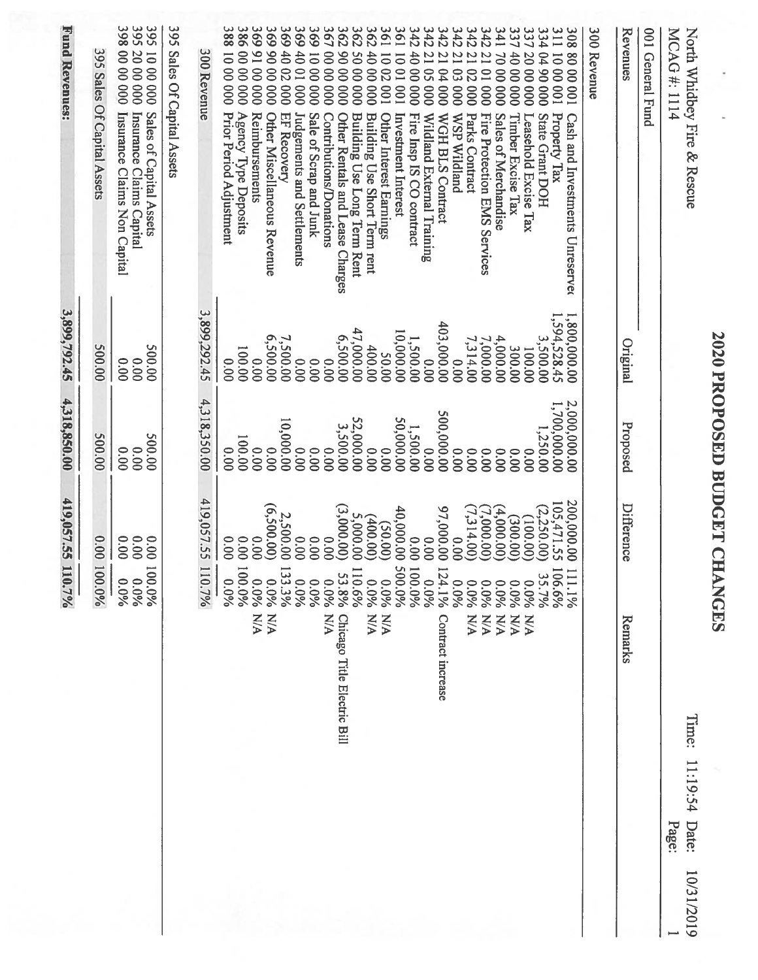|                                                                                                                                                     |                             | <b>2020 PROPOSED BUDGET CHANGES</b> |                                        |                                                              |                                          |
|-----------------------------------------------------------------------------------------------------------------------------------------------------|-----------------------------|-------------------------------------|----------------------------------------|--------------------------------------------------------------|------------------------------------------|
| North Whidbey Fire & Rescue<br>MCAG#:1114                                                                                                           |                             |                                     |                                        | Iime:                                                        | 11:19:54<br>Date:<br>Page:<br>10/31/2019 |
| 001 General Fund                                                                                                                                    |                             |                                     |                                        |                                                              |                                          |
| Revenues                                                                                                                                            | Original                    | Proposed                            | <b>Difference</b>                      | Remarks                                                      |                                          |
| 300 Revenue                                                                                                                                         |                             |                                     |                                        |                                                              |                                          |
| 311<br>308800001<br>100 00 01<br>Property Tax<br>Cash and Investments Unreserve                                                                     | 1,800,000.000<br>594,528.45 | 2,000,000.00<br>1,700,000.00        | 200,000.00<br>105,471.55<br>(2,250.00) | 106.6%<br>Ξ<br>$1.1\%$                                       |                                          |
| 337 20 00 000<br>334 04 90 000<br>State Grant DOH                                                                                                   | 3,500.00<br>100.00          | 1,250.00                            | (100.001)                              | یب<br>5.7%<br>$0.0\%$                                        |                                          |
| 337 40 00 000<br>Timber Excise Tax<br>Leasehold Excise Tax                                                                                          | 300.00                      | 0.00<br>0.00                        | (00.005)                               | $0.0\%$<br><b>N/A</b>                                        |                                          |
| 342<br>141<br>$\overline{1}$<br>70 00 000<br>$\overline{0}$<br>000<br>Fire Protection EMS Services<br>Sales of Merchandise                          | 4,000.00<br>7,000.00        | 0.00<br>0.00                        | (4,000.00)                             | $0.0\%$<br>$0.0\%$<br><b>N/A</b><br><b>N/A</b>               |                                          |
| 342<br>$\overline{a}$<br>02<br>000<br>Parks Contract                                                                                                | 7,314.00                    | 0.00                                | (7,900.000)                            | $0.0\%$<br><b>N/A</b>                                        |                                          |
| 342<br>342<br>$\overline{1}$<br>$\overline{1}$<br>$\overline{64}$<br>8<br>000 <sub>1</sub><br>000<br><b>WGH BLS Contract</b><br><b>WSP Wildland</b> | 403,000.00<br>00.00         | 500,000.00<br>00.00                 | 97,000.00<br>00.00                     | 124<br>4.1%<br>$0.0\%$<br>Contract increase                  |                                          |
| $342$<br>$342$<br>40 00<br>$\overline{1}$<br>$\overline{S}$<br>000<br>000<br>Wildland External Training<br>Fire Insp IS CO contract                 | 1,500.00<br>0.00            | 1,500.00<br>0.00                    | 0.00<br>00.00                          | 100<br>0%<br>0%<br>$0.0\%$                                   |                                          |
| 198<br>361<br>1002<br>1001<br>001<br>100<br>Other Interest Earnings<br>Investment Interest                                                          | 10,000.00<br>50.00          | 50,000.00<br>0.00                   | 40,000.00<br>(50.00)                   | 200<br>$0.0\%$<br>$0.0\%$<br>V/N                             |                                          |
| 362<br>362<br>362<br>4000<br>50<br>$\infty$<br>000 <sub>1</sub><br>800<br>Building Use Long Term Rent<br>Building Use Short Term rent               | 47,000.00<br>400.00         | 52,000.00<br>00.00                  | 5,000.00<br>(400.00)                   | JII<br>$0.0\%$<br>9,69,6<br><b>N/A</b>                       |                                          |
| 367<br>00 00<br>8 <sup>o</sup><br>$\infty$<br>000<br>000<br>Other Rentals and Lease Charges<br>Contributions/Donations                              | 6,500.00<br>0.00            | 3,500.00<br>00.00                   | (3,000.00)<br>0.00                     | $0.0\%$<br>1.8%<br><b>N/A</b><br>Chicago Title Electric Bill |                                          |
| 369 40 01 000<br>369 10 00<br>000<br><b>Judgements and Settlements</b><br>Sale of Scrap and Junk                                                    | 00.00<br>00'0               | 0.00<br>0.00                        | 0.00<br>0.00                           | $0.0\%$<br>$-0.0\%$                                          |                                          |
| 369 40 02<br>000<br>EF Recovery                                                                                                                     | 7,500.00                    | 10,000.00                           | 2,500.00                               | 133<br>396                                                   |                                          |
| 369 91 00 000<br>36990000000<br>Reimbursements<br>Other Miscellaneous Revenue                                                                       | 6,500.00<br>0.00            | 0.00<br>00.00                       | (6,500.00)<br>0.00                     | $0.0\%$<br>$0.0\%$<br><b>N/A</b><br><b>N/A</b>               |                                          |
| 3881000000<br>386 00 00 000<br>Agency Type Deposits<br>Prior Period Adjustment                                                                      | 100.00<br>00.00             | 100.00<br>0.00                      | 0.00<br>0.00                           | $\overline{5}$<br>960'0<br>$0.0\%$                           |                                          |
| 300 Revenue                                                                                                                                         | 3,899,292.45                | 4,318,350.00                        | 419,057.55 110.7%                      |                                                              |                                          |
| 395 Sales Of Capital Assets                                                                                                                         |                             |                                     |                                        |                                                              |                                          |
| 395 20 00 000<br>395 10 00 000<br>Sales of Capital Assets<br>Insurance Claims Capital                                                               | 200.00<br>0.00              | 200.00<br>0.00                      | 0.00<br>0.00                           | %0.001<br>%0.001                                             |                                          |
| 398 00 00 000<br>Insurance Claims Non Capital                                                                                                       | 0.00                        | 0.00                                | 0.00                                   | 0.0%                                                         |                                          |
| 395 Sales Of Capital Assets                                                                                                                         | 500.00                      | 500.00                              |                                        | 0.00 100.0%                                                  |                                          |
| Fund Revenues:                                                                                                                                      | 3,899,792.45                | 4,318,850.00                        | 419,057.55 110.7%                      |                                                              |                                          |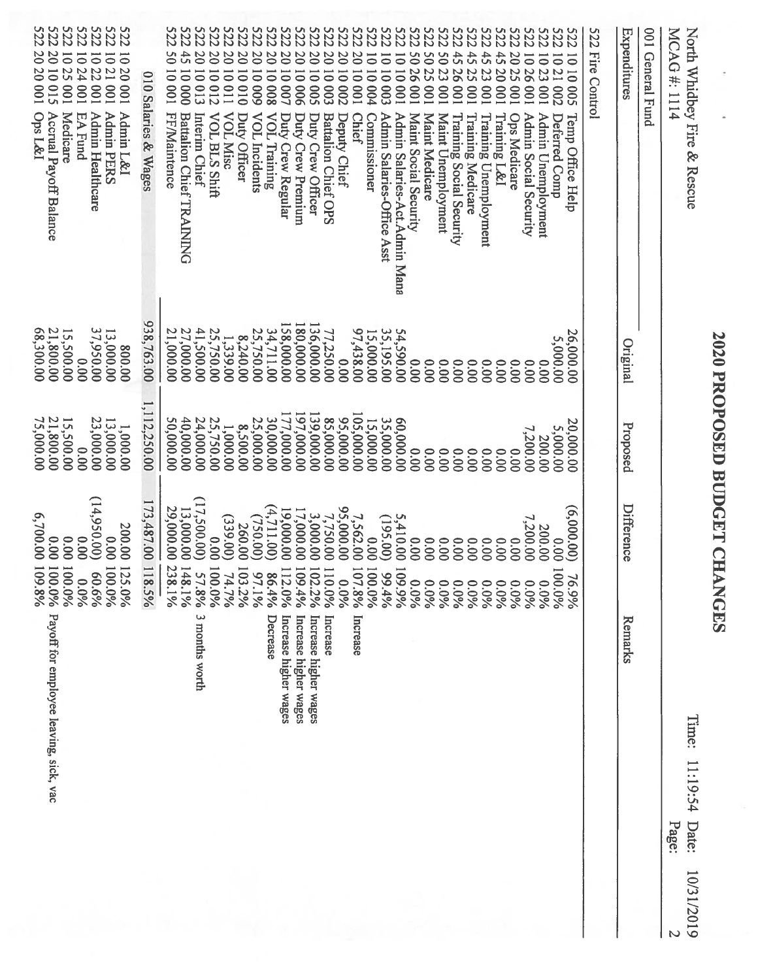|                                                                                                                                               |                                          |                                             | <b>2020 PROPOSED BUDGET CHANGES</b>                       |                                                        |                            |            |
|-----------------------------------------------------------------------------------------------------------------------------------------------|------------------------------------------|---------------------------------------------|-----------------------------------------------------------|--------------------------------------------------------|----------------------------|------------|
| MCAG#: 1114<br>North Whidbey Fire & Rescue                                                                                                    |                                          |                                             |                                                           | Time:                                                  | 11:19:54<br>Date:<br>Page: | 10/31/2019 |
| 001 General Fund                                                                                                                              |                                          |                                             |                                                           |                                                        |                            |            |
| Expenditures                                                                                                                                  | Original                                 | Proposed                                    | <b>Difference</b>                                         | Remarks                                                |                            |            |
| S22<br>Fire Control                                                                                                                           |                                          |                                             |                                                           |                                                        |                            |            |
| 222<br>1010<br>500<br>Temp Office Help                                                                                                        | 26,000.00                                | 20,000.00                                   | (6,000.00)<br>$\overline{6}$                              | %66                                                    |                            |            |
| <b>S22</b><br>1021 002<br>Admin Unemployment<br>Deferred Comp                                                                                 | 5,000.00<br>0.00                         | <b>5,000.00</b><br>200.00                   | 200.00<br>0.00<br>100.0%                                  | 0.0%                                                   |                            |            |
| S22<br>S22<br>1023001<br>1026001<br>100<br>Admin Social Security                                                                              | 0.00                                     | 7,200.00                                    | 7,200.00                                                  |                                                        |                            |            |
| S22<br>S22<br>2023<br>445<br>45<br>45<br>23<br>100<br>100<br>Training L&I<br><b>Ops Medicare</b>                                              | 0.00<br>0.00                             | 0.00<br>00.00                               | 0.00<br>0.00                                              | 0.0%<br>0.0%<br>0.0%                                   |                            |            |
| <b>S22</b><br>100<br>Training Unemployment                                                                                                    | 00.00                                    | 0.00                                        | 0.00                                                      | 0.0%                                                   |                            |            |
| <b>S22</b><br>100<br>100<br>Training Social Security<br>Training Medicare                                                                     | 0.00<br>00.00                            | 0.00<br>00.00                               | 0.00<br>0.00                                              | 0.0%                                                   |                            |            |
| S22<br>S22<br>4526<br>5023<br>100<br>Maint Unemployment                                                                                       | 0.00                                     | 0.00                                        | 0.00                                                      | 0.0%<br>0.0%                                           |                            |            |
| <b>522</b><br>5025<br>5026<br>100<br>100<br>Maint Social Security<br>Maint Medicare                                                           | 0.00<br>0.00                             | 00.00<br>0.00                               | 0.00<br>0.00                                              | $0.0\%$<br>0.0%                                        |                            |            |
| 100001<br>Admin Salaries-Act. Admin Mana                                                                                                      | 00.096.45                                | 60,000.00                                   | 5,410.00<br><b>601</b>                                    | $-596.6$                                               |                            |            |
| 2222<br>$\overline{0}$<br>10003<br>Admin Salaries-Office Asst                                                                                 | 35,195.00                                | 35,000.00<br>15,000.00                      | (195.00)                                                  | 99.4%                                                  |                            |            |
| <b>S22</b><br>$\overline{0}$<br>$\overline{0}$<br>$\overline{0}$<br>10004<br>100<br><b>Chief</b><br>Commissioner                              | 97,438.00<br>15,000.00                   | 105,000.00                                  | 00'0<br>107<br>100                                        | $.8\%$<br>$-50%$<br>Increase                           |                            |            |
| <b>222</b><br>$\overline{0}$<br>$\overline{01}$<br><b>002</b><br>Deputy Chief                                                                 | 0.00                                     | 95,000.00                                   | $7,562.00$<br>$95,000.00$<br>$7,750.00$<br>$\circ$        | $0.0\%$                                                |                            |            |
| <b>222</b><br><b>S22</b><br>$\overline{0}$<br>$\overline{01}$<br>500<br><b>COO</b><br><b>Battalion Chief OPS</b>                              | 77,250.00                                | 85,000.00                                   | $\overline{0}$<br>102                                     | $-0.0\%$<br>$-296$<br>Increase                         |                            |            |
| <b>S22</b><br>201<br>$\overline{0}$<br>10006<br>$\overline{\circ}$<br>Duty Crew Premium<br>Duty Crew Officer                                  | 180,000.00<br>136,000.00                 | 197,000.00<br>139,000.00                    | 17,000.00<br>3,000.00<br><b>601</b>                       | .496<br>Increase higher wages<br>Increase higher wages |                            |            |
| <b>222</b><br>50 <sub>1</sub><br>$\overline{\mathbf{0}}$<br><b>007</b><br>Duty Crew Regular                                                   |                                          | 177,000.00                                  | $[9,000.00]$ $(4,711.00)$<br>112                          | %0'<br>Increase higher wages                           |                            |            |
| <b>222</b><br>22S<br>2010009<br>2010008<br><b>VOL Training</b>                                                                                | 158,000.00<br>34,711.00<br>25,750.00     | 30,000.00<br>25,000.00                      | (750.00)<br>6 <sub>1</sub><br>98                          | 406<br>$\frac{1}{2}$<br>Decrease                       |                            |            |
| <b>222</b><br>2010010<br><b>VOL</b> Incidents<br>Duty Officer                                                                                 | 8,240.00                                 | 8,500.00                                    | 260.00<br>103                                             | 2%                                                     |                            |            |
| <b>S22</b><br>$\infty$<br>10011<br><b>VOL Misc</b>                                                                                            | 1,339.00                                 | 1,000.00                                    | (339.00)                                                  | 74.7%                                                  |                            |            |
| <b>222</b><br>$\overline{0}$<br>2010012<br>10013<br>VOL BLS Shift<br>Interim Chief                                                            | 41,500.00<br>25,750.00                   | 24,000.00<br>25,750.00                      | (17,500.00)<br>0.00<br>001<br>57                          | $%8^{\circ}$<br>$-0.0\%$<br>3 months worth             |                            |            |
| 222<br>ZZ <sub>2</sub><br>$\ddot{4}$<br>50 10 001<br>000 01<br><b>FF/Maintence</b><br><b>Battalion Chief TRAINING</b>                         | 27,000.00<br>21,000.00                   | 40,000.00<br>50,000.00                      | 29,000.00<br>13,000.00<br>238.1%<br>148.1%                |                                                        |                            |            |
| 010 Salaries & Wages                                                                                                                          | 938,763.00                               | 1,112,250.00                                | 173,487.00 118.5%                                         |                                                        |                            |            |
| <b>222</b><br>222<br>10 20 001<br>1021 001<br>1024 001<br>1022<br>100<br><b>Admin PERS</b><br>Admin L&I<br>Admin Healthcare<br><b>EA Fund</b> | 37,950.00<br>13,000.00<br>00.008<br>0.00 | 23,000.00<br>13,000.00<br>1,000.00<br>00.00 | (14,950.00)<br>200.00<br>0.00<br>0.00<br>125.0%<br>100.0% | 60.6%<br>960'0                                         |                            |            |
| 222<br><b>222</b><br><b>222</b><br>20 10 015<br>1025<br>100<br>Ops L&I<br>Accrual Payoff Balance<br>Medicare                                  | 21,800.00<br>68,300.00<br>15,500.00      | 21,800.00<br>75,000.00<br>15,500.00         | 6,700.00<br>00.00<br>00.00<br>109.8%<br>100.0%<br>100.0%  | Payoff for employee leaving, sick, vac                 |                            |            |
|                                                                                                                                               |                                          |                                             |                                                           |                                                        |                            |            |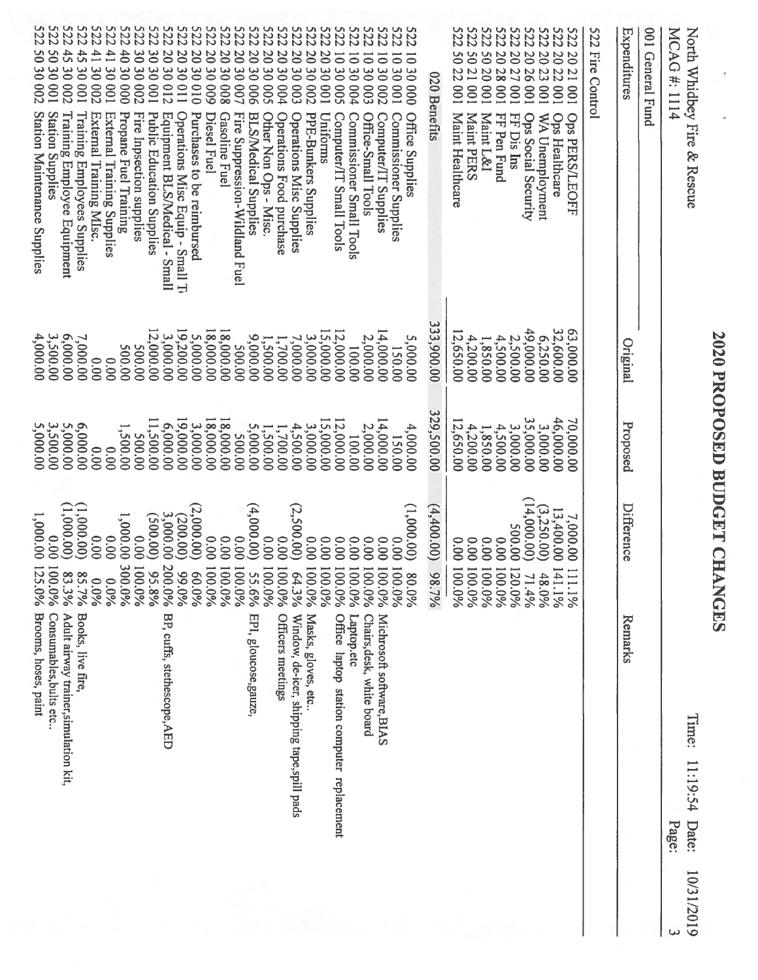| <b><i>SQQQQQ</i></b><br><b>522</b><br><b>S22</b><br><b>S22</b><br><b>522</b><br><b>S22</b><br><b>522</b><br><b>S22</b><br><b>S22</b><br><b>S22</b><br><b>522</b><br><b>522</b><br><b>522</b><br><b>522</b><br><b>522</b><br><b>522</b><br><b>522</b><br><b>S22</b><br><b>5222</b><br><b>522</b><br>S22<br>522<br><b>522</b><br>522<br><b>522</b><br><b>S22</b><br><b>S22</b><br><b>522</b><br><b>522</b><br><b>522</b><br>522 Fire Control<br>001 General Fund<br>North Whidbey Fire & Rescue<br>Expenditures<br>MCAG#: 1114<br>45<br>50 30 001<br>$\ddot{3}$<br>$\overline{41}$<br>$\frac{41}{1}$<br>4030<br>20 30 012<br>20<br>20 30 010<br>30 30 002<br>2030<br>20 30 008<br>2030<br>20 30 002<br>$\frac{6}{3}$<br>$\overline{00}$<br>20<br>$\overline{50}$<br>2027 001<br>2030<br>$\overline{0}$<br>2030<br>$\overline{0}$<br>$\mathcal{S}^0$<br>50 20 001<br>50<br>20 26 001<br>20 23 001<br><b>2022</b><br>$\overline{5}$<br>1030000<br>20<br>$\overline{\bullet}$<br>$\overline{5}$<br>$\overline{\circ}$<br>$\overline{\bullet}$<br>30 002<br>30 001<br>$\frac{20}{3}$<br>30001<br>$\frac{8}{20}$<br>$\frac{8}{2}$<br>$\frac{6}{2}$<br>$\frac{8}{2}$<br>$\frac{20}{3}$<br>$\frac{6}{2}$<br>30004<br>$\infty$<br>3000Z<br>30001<br>128 001<br>$\frac{6}{2}$<br>22 001<br>$\overline{1}$<br>21 001<br>020 Benefits<br><b>002</b><br>900<br>600<br>100<br>800<br>001<br>110<br>600<br>007<br>500<br><b>p04</b><br>003<br>001<br><b>002</b><br>500<br>100<br>Station Maintenance Supplies<br><b>Station Supplies</b><br>Training Employee Equipment<br>Training Employees Supplies<br>External Training Supplies<br>External Training MIsc.<br>Propane Fuel Training<br>Fire Inpsection supplies<br>Public Education Supplies<br>Operations Misc Equip - Small T<br>Purchases to be reimbursed<br>Fire Suppression-Wildland Fuel<br>Maint Healthcare<br>Equipment BLS/Medical - Small<br>Gasoline Fuel<br><b>BLS/Medical Supplies</b><br>Other Non Ops - Misc.<br>Operations Food purchase<br>Operations Misc Supplies<br><b>PPE-Bunkers Supplies</b><br><b>Office Supplies</b><br><b>Maint PERS</b><br>Maint L&I<br>Ops Social Security<br>WA Unemployment<br>Ops Healthcare<br>Diesel Fuel<br>Uniforms<br>FF Pen Fund<br>FF Dis Ins<br>Computer/IT Small Tools<br>Commissioner Small Tools<br>Office-Small Tools<br><b>Ops PERS/LEOFF</b><br>Computer/IT Supplies<br>Commissioner Supplies<br>333,900.00<br>12,000.00<br>19,200.00<br>63,000.00<br>32,600.00<br>18,000.00<br>5,000.00<br>18,000.00<br>000.000<br>15,000.00<br>12,000.00<br>14,000.00<br>12,650.00<br>3,000.00<br>3,500.00<br>6,000.00<br>4,000.00<br>9,000.00<br>6,250.00<br>7,000.00<br>2,000.00<br>5,000.00<br>4,200.00<br>2,500.00<br>3,000.00<br>7,000.00<br>4,500.00<br>1,500.00<br>1,850.00<br>1,700.00<br>Original<br>200.00<br>150.00<br>100.00<br>200.00<br><b>500.00</b><br>0.000<br>0.00<br>329,500.00<br>19,000.00<br>3,000.00<br>35,000.00<br>46,000.00<br>15,000.00<br>14,000.00<br>11,500.00<br>18,000.00<br>18,000.00<br>12,000.00<br>12,650.00<br>70,000.00<br>3,000.00<br>Proposed<br>6,000.00<br>3,500.00<br>5,000.00<br>5,000.00<br>6,000.00<br>4,500.00<br>2,000.00<br>4,200.00<br>3,000.00<br>5,000.00<br>3,000.00<br>4,000.00<br>4,500.00<br>1,500.00<br>1,850.00<br>1,500.00<br>1,700.00<br>200.00<br>100.00<br><b>500.00</b><br>150.00<br>0.00<br>00.00<br>(14,000.00)<br>(2,500.00)<br>(2,000.00)<br>(1,000.00)<br>Difference<br>(1,000.00)<br>(4,000.00)<br>(4,400.00)<br>(3, 250.00)<br>1,000.00)<br>13,400.00<br>1,000.00<br>1,000.00<br>(500.00)<br>3,000.00<br>(200.00)<br>7,000.00<br><b>500.00</b><br>00.00<br>000<br>00.00<br>0.00<br>0.00<br>0.00<br>0.00<br>0.00<br>0.00<br>00.00<br>0.00<br>0.00<br>00.00<br>0.00<br>0.00<br>0.00<br>0.00<br>0.00<br>0.00<br>0.00<br>125.0%<br>300.0%<br>200<br>100.0%<br>001<br>100.0%<br>100.0%<br>100.0%<br>100.0%<br>100.0%<br>100.0%<br>100.0%<br>100.0%<br>100.0%<br>10(<br>$\overline{21}$<br>100.0%<br>100.0%<br>$\overline{100}$<br>100.0%<br>$\overline{100}$<br>$\overline{5}$<br>$\mathbf{14}$<br>95.8%<br>$\equiv$<br>99.0%<br>55.6%<br>83.3%<br>64.3%<br>85.7%<br>960.0%<br>98.7%<br>80.0%<br>$\rightarrow$<br>41<br>$0.0\%$<br>$0.0\%$<br>$8.0\%$<br>$0.0\%$<br>$0.0\%$<br>0%<br>$0.0\%$<br>$0.0\%$<br>1.496<br>$0.0\%$<br>$0.0\%$<br>1.196<br>$-196$<br>Books, live fire,<br>Adult airway trainer, simulation kit,<br>Brooms, hoses, paint<br>Consumables, bults etc<br>BP, cuffs, stethescope, AED<br><b>Officers meetings</b><br>Masks, gloves, etc.<br>Michrosoft software, BIAS<br>EPI, gloucose, gauze,<br>Window, de-icer, shipping tape,spill pads<br>Office laptop station computer replacement<br>Laptop.etc<br>Chairs, desk, white board<br>Remarks<br>Time:<br>11:19:54<br>Date:<br>Page:<br>10/31/2019 |            |  | <b>2020 PROPOSED BUDGET CHANGES</b> |  |  |
|-------------------------------------------------------------------------------------------------------------------------------------------------------------------------------------------------------------------------------------------------------------------------------------------------------------------------------------------------------------------------------------------------------------------------------------------------------------------------------------------------------------------------------------------------------------------------------------------------------------------------------------------------------------------------------------------------------------------------------------------------------------------------------------------------------------------------------------------------------------------------------------------------------------------------------------------------------------------------------------------------------------------------------------------------------------------------------------------------------------------------------------------------------------------------------------------------------------------------------------------------------------------------------------------------------------------------------------------------------------------------------------------------------------------------------------------------------------------------------------------------------------------------------------------------------------------------------------------------------------------------------------------------------------------------------------------------------------------------------------------------------------------------------------------------------------------------------------------------------------------------------------------------------------------------------------------------------------------------------------------------------------------------------------------------------------------------------------------------------------------------------------------------------------------------------------------------------------------------------------------------------------------------------------------------------------------------------------------------------------------------------------------------------------------------------------------------------------------------------------------------------------------------------------------------------------------------------------------------------------------------------------------------------------------------------------------------------------------------------------------------------------------------------------------------------------------------------------------------------------------------------------------------------------------------------------------------------------------------------------------------------------------------------------------------------------------------------------------------------------------------------------------------------------------------------------------------------------------------------------------------------------------------------------------------------------------------------------------------------------------------------------------------------------------------------------------------------------------------------------------------------------------------------------------------------------------------------------------------------------------------------------------------------------------------------------------------------------------------------------------------------------------------------------------------------------------------------------------------------------------------------------------------------------------------------------------------------------------------------------------------------------------------------------------------------------------------------------------------------------------------------------------------------------------------------------------------------------------------------------------------------------------------------------------------------------------------------------------------------------------------------------------------------------------------------------------------------------------------------------------------------------------------------------------------------------------------------------------------------------------------------------------------------------------------------------------------------------------------------------------------------------------------------|------------|--|-------------------------------------|--|--|
|                                                                                                                                                                                                                                                                                                                                                                                                                                                                                                                                                                                                                                                                                                                                                                                                                                                                                                                                                                                                                                                                                                                                                                                                                                                                                                                                                                                                                                                                                                                                                                                                                                                                                                                                                                                                                                                                                                                                                                                                                                                                                                                                                                                                                                                                                                                                                                                                                                                                                                                                                                                                                                                                                                                                                                                                                                                                                                                                                                                                                                                                                                                                                                                                                                                                                                                                                                                                                                                                                                                                                                                                                                                                                                                                                                                                                                                                                                                                                                                                                                                                                                                                                                                                                                                                                                                                                                                                                                                                                                                                                                                                                                                                                                                                                                               |            |  |                                     |  |  |
|                                                                                                                                                                                                                                                                                                                                                                                                                                                                                                                                                                                                                                                                                                                                                                                                                                                                                                                                                                                                                                                                                                                                                                                                                                                                                                                                                                                                                                                                                                                                                                                                                                                                                                                                                                                                                                                                                                                                                                                                                                                                                                                                                                                                                                                                                                                                                                                                                                                                                                                                                                                                                                                                                                                                                                                                                                                                                                                                                                                                                                                                                                                                                                                                                                                                                                                                                                                                                                                                                                                                                                                                                                                                                                                                                                                                                                                                                                                                                                                                                                                                                                                                                                                                                                                                                                                                                                                                                                                                                                                                                                                                                                                                                                                                                                               |            |  |                                     |  |  |
|                                                                                                                                                                                                                                                                                                                                                                                                                                                                                                                                                                                                                                                                                                                                                                                                                                                                                                                                                                                                                                                                                                                                                                                                                                                                                                                                                                                                                                                                                                                                                                                                                                                                                                                                                                                                                                                                                                                                                                                                                                                                                                                                                                                                                                                                                                                                                                                                                                                                                                                                                                                                                                                                                                                                                                                                                                                                                                                                                                                                                                                                                                                                                                                                                                                                                                                                                                                                                                                                                                                                                                                                                                                                                                                                                                                                                                                                                                                                                                                                                                                                                                                                                                                                                                                                                                                                                                                                                                                                                                                                                                                                                                                                                                                                                                               |            |  |                                     |  |  |
|                                                                                                                                                                                                                                                                                                                                                                                                                                                                                                                                                                                                                                                                                                                                                                                                                                                                                                                                                                                                                                                                                                                                                                                                                                                                                                                                                                                                                                                                                                                                                                                                                                                                                                                                                                                                                                                                                                                                                                                                                                                                                                                                                                                                                                                                                                                                                                                                                                                                                                                                                                                                                                                                                                                                                                                                                                                                                                                                                                                                                                                                                                                                                                                                                                                                                                                                                                                                                                                                                                                                                                                                                                                                                                                                                                                                                                                                                                                                                                                                                                                                                                                                                                                                                                                                                                                                                                                                                                                                                                                                                                                                                                                                                                                                                                               |            |  |                                     |  |  |
|                                                                                                                                                                                                                                                                                                                                                                                                                                                                                                                                                                                                                                                                                                                                                                                                                                                                                                                                                                                                                                                                                                                                                                                                                                                                                                                                                                                                                                                                                                                                                                                                                                                                                                                                                                                                                                                                                                                                                                                                                                                                                                                                                                                                                                                                                                                                                                                                                                                                                                                                                                                                                                                                                                                                                                                                                                                                                                                                                                                                                                                                                                                                                                                                                                                                                                                                                                                                                                                                                                                                                                                                                                                                                                                                                                                                                                                                                                                                                                                                                                                                                                                                                                                                                                                                                                                                                                                                                                                                                                                                                                                                                                                                                                                                                                               |            |  |                                     |  |  |
|                                                                                                                                                                                                                                                                                                                                                                                                                                                                                                                                                                                                                                                                                                                                                                                                                                                                                                                                                                                                                                                                                                                                                                                                                                                                                                                                                                                                                                                                                                                                                                                                                                                                                                                                                                                                                                                                                                                                                                                                                                                                                                                                                                                                                                                                                                                                                                                                                                                                                                                                                                                                                                                                                                                                                                                                                                                                                                                                                                                                                                                                                                                                                                                                                                                                                                                                                                                                                                                                                                                                                                                                                                                                                                                                                                                                                                                                                                                                                                                                                                                                                                                                                                                                                                                                                                                                                                                                                                                                                                                                                                                                                                                                                                                                                                               |            |  |                                     |  |  |
|                                                                                                                                                                                                                                                                                                                                                                                                                                                                                                                                                                                                                                                                                                                                                                                                                                                                                                                                                                                                                                                                                                                                                                                                                                                                                                                                                                                                                                                                                                                                                                                                                                                                                                                                                                                                                                                                                                                                                                                                                                                                                                                                                                                                                                                                                                                                                                                                                                                                                                                                                                                                                                                                                                                                                                                                                                                                                                                                                                                                                                                                                                                                                                                                                                                                                                                                                                                                                                                                                                                                                                                                                                                                                                                                                                                                                                                                                                                                                                                                                                                                                                                                                                                                                                                                                                                                                                                                                                                                                                                                                                                                                                                                                                                                                                               |            |  |                                     |  |  |
|                                                                                                                                                                                                                                                                                                                                                                                                                                                                                                                                                                                                                                                                                                                                                                                                                                                                                                                                                                                                                                                                                                                                                                                                                                                                                                                                                                                                                                                                                                                                                                                                                                                                                                                                                                                                                                                                                                                                                                                                                                                                                                                                                                                                                                                                                                                                                                                                                                                                                                                                                                                                                                                                                                                                                                                                                                                                                                                                                                                                                                                                                                                                                                                                                                                                                                                                                                                                                                                                                                                                                                                                                                                                                                                                                                                                                                                                                                                                                                                                                                                                                                                                                                                                                                                                                                                                                                                                                                                                                                                                                                                                                                                                                                                                                                               |            |  |                                     |  |  |
|                                                                                                                                                                                                                                                                                                                                                                                                                                                                                                                                                                                                                                                                                                                                                                                                                                                                                                                                                                                                                                                                                                                                                                                                                                                                                                                                                                                                                                                                                                                                                                                                                                                                                                                                                                                                                                                                                                                                                                                                                                                                                                                                                                                                                                                                                                                                                                                                                                                                                                                                                                                                                                                                                                                                                                                                                                                                                                                                                                                                                                                                                                                                                                                                                                                                                                                                                                                                                                                                                                                                                                                                                                                                                                                                                                                                                                                                                                                                                                                                                                                                                                                                                                                                                                                                                                                                                                                                                                                                                                                                                                                                                                                                                                                                                                               | <b>522</b> |  |                                     |  |  |
|                                                                                                                                                                                                                                                                                                                                                                                                                                                                                                                                                                                                                                                                                                                                                                                                                                                                                                                                                                                                                                                                                                                                                                                                                                                                                                                                                                                                                                                                                                                                                                                                                                                                                                                                                                                                                                                                                                                                                                                                                                                                                                                                                                                                                                                                                                                                                                                                                                                                                                                                                                                                                                                                                                                                                                                                                                                                                                                                                                                                                                                                                                                                                                                                                                                                                                                                                                                                                                                                                                                                                                                                                                                                                                                                                                                                                                                                                                                                                                                                                                                                                                                                                                                                                                                                                                                                                                                                                                                                                                                                                                                                                                                                                                                                                                               |            |  |                                     |  |  |
|                                                                                                                                                                                                                                                                                                                                                                                                                                                                                                                                                                                                                                                                                                                                                                                                                                                                                                                                                                                                                                                                                                                                                                                                                                                                                                                                                                                                                                                                                                                                                                                                                                                                                                                                                                                                                                                                                                                                                                                                                                                                                                                                                                                                                                                                                                                                                                                                                                                                                                                                                                                                                                                                                                                                                                                                                                                                                                                                                                                                                                                                                                                                                                                                                                                                                                                                                                                                                                                                                                                                                                                                                                                                                                                                                                                                                                                                                                                                                                                                                                                                                                                                                                                                                                                                                                                                                                                                                                                                                                                                                                                                                                                                                                                                                                               |            |  |                                     |  |  |
|                                                                                                                                                                                                                                                                                                                                                                                                                                                                                                                                                                                                                                                                                                                                                                                                                                                                                                                                                                                                                                                                                                                                                                                                                                                                                                                                                                                                                                                                                                                                                                                                                                                                                                                                                                                                                                                                                                                                                                                                                                                                                                                                                                                                                                                                                                                                                                                                                                                                                                                                                                                                                                                                                                                                                                                                                                                                                                                                                                                                                                                                                                                                                                                                                                                                                                                                                                                                                                                                                                                                                                                                                                                                                                                                                                                                                                                                                                                                                                                                                                                                                                                                                                                                                                                                                                                                                                                                                                                                                                                                                                                                                                                                                                                                                                               |            |  |                                     |  |  |
|                                                                                                                                                                                                                                                                                                                                                                                                                                                                                                                                                                                                                                                                                                                                                                                                                                                                                                                                                                                                                                                                                                                                                                                                                                                                                                                                                                                                                                                                                                                                                                                                                                                                                                                                                                                                                                                                                                                                                                                                                                                                                                                                                                                                                                                                                                                                                                                                                                                                                                                                                                                                                                                                                                                                                                                                                                                                                                                                                                                                                                                                                                                                                                                                                                                                                                                                                                                                                                                                                                                                                                                                                                                                                                                                                                                                                                                                                                                                                                                                                                                                                                                                                                                                                                                                                                                                                                                                                                                                                                                                                                                                                                                                                                                                                                               |            |  |                                     |  |  |
|                                                                                                                                                                                                                                                                                                                                                                                                                                                                                                                                                                                                                                                                                                                                                                                                                                                                                                                                                                                                                                                                                                                                                                                                                                                                                                                                                                                                                                                                                                                                                                                                                                                                                                                                                                                                                                                                                                                                                                                                                                                                                                                                                                                                                                                                                                                                                                                                                                                                                                                                                                                                                                                                                                                                                                                                                                                                                                                                                                                                                                                                                                                                                                                                                                                                                                                                                                                                                                                                                                                                                                                                                                                                                                                                                                                                                                                                                                                                                                                                                                                                                                                                                                                                                                                                                                                                                                                                                                                                                                                                                                                                                                                                                                                                                                               |            |  |                                     |  |  |
|                                                                                                                                                                                                                                                                                                                                                                                                                                                                                                                                                                                                                                                                                                                                                                                                                                                                                                                                                                                                                                                                                                                                                                                                                                                                                                                                                                                                                                                                                                                                                                                                                                                                                                                                                                                                                                                                                                                                                                                                                                                                                                                                                                                                                                                                                                                                                                                                                                                                                                                                                                                                                                                                                                                                                                                                                                                                                                                                                                                                                                                                                                                                                                                                                                                                                                                                                                                                                                                                                                                                                                                                                                                                                                                                                                                                                                                                                                                                                                                                                                                                                                                                                                                                                                                                                                                                                                                                                                                                                                                                                                                                                                                                                                                                                                               |            |  |                                     |  |  |
|                                                                                                                                                                                                                                                                                                                                                                                                                                                                                                                                                                                                                                                                                                                                                                                                                                                                                                                                                                                                                                                                                                                                                                                                                                                                                                                                                                                                                                                                                                                                                                                                                                                                                                                                                                                                                                                                                                                                                                                                                                                                                                                                                                                                                                                                                                                                                                                                                                                                                                                                                                                                                                                                                                                                                                                                                                                                                                                                                                                                                                                                                                                                                                                                                                                                                                                                                                                                                                                                                                                                                                                                                                                                                                                                                                                                                                                                                                                                                                                                                                                                                                                                                                                                                                                                                                                                                                                                                                                                                                                                                                                                                                                                                                                                                                               |            |  |                                     |  |  |
|                                                                                                                                                                                                                                                                                                                                                                                                                                                                                                                                                                                                                                                                                                                                                                                                                                                                                                                                                                                                                                                                                                                                                                                                                                                                                                                                                                                                                                                                                                                                                                                                                                                                                                                                                                                                                                                                                                                                                                                                                                                                                                                                                                                                                                                                                                                                                                                                                                                                                                                                                                                                                                                                                                                                                                                                                                                                                                                                                                                                                                                                                                                                                                                                                                                                                                                                                                                                                                                                                                                                                                                                                                                                                                                                                                                                                                                                                                                                                                                                                                                                                                                                                                                                                                                                                                                                                                                                                                                                                                                                                                                                                                                                                                                                                                               |            |  |                                     |  |  |
|                                                                                                                                                                                                                                                                                                                                                                                                                                                                                                                                                                                                                                                                                                                                                                                                                                                                                                                                                                                                                                                                                                                                                                                                                                                                                                                                                                                                                                                                                                                                                                                                                                                                                                                                                                                                                                                                                                                                                                                                                                                                                                                                                                                                                                                                                                                                                                                                                                                                                                                                                                                                                                                                                                                                                                                                                                                                                                                                                                                                                                                                                                                                                                                                                                                                                                                                                                                                                                                                                                                                                                                                                                                                                                                                                                                                                                                                                                                                                                                                                                                                                                                                                                                                                                                                                                                                                                                                                                                                                                                                                                                                                                                                                                                                                                               |            |  |                                     |  |  |
|                                                                                                                                                                                                                                                                                                                                                                                                                                                                                                                                                                                                                                                                                                                                                                                                                                                                                                                                                                                                                                                                                                                                                                                                                                                                                                                                                                                                                                                                                                                                                                                                                                                                                                                                                                                                                                                                                                                                                                                                                                                                                                                                                                                                                                                                                                                                                                                                                                                                                                                                                                                                                                                                                                                                                                                                                                                                                                                                                                                                                                                                                                                                                                                                                                                                                                                                                                                                                                                                                                                                                                                                                                                                                                                                                                                                                                                                                                                                                                                                                                                                                                                                                                                                                                                                                                                                                                                                                                                                                                                                                                                                                                                                                                                                                                               |            |  |                                     |  |  |
|                                                                                                                                                                                                                                                                                                                                                                                                                                                                                                                                                                                                                                                                                                                                                                                                                                                                                                                                                                                                                                                                                                                                                                                                                                                                                                                                                                                                                                                                                                                                                                                                                                                                                                                                                                                                                                                                                                                                                                                                                                                                                                                                                                                                                                                                                                                                                                                                                                                                                                                                                                                                                                                                                                                                                                                                                                                                                                                                                                                                                                                                                                                                                                                                                                                                                                                                                                                                                                                                                                                                                                                                                                                                                                                                                                                                                                                                                                                                                                                                                                                                                                                                                                                                                                                                                                                                                                                                                                                                                                                                                                                                                                                                                                                                                                               |            |  |                                     |  |  |
|                                                                                                                                                                                                                                                                                                                                                                                                                                                                                                                                                                                                                                                                                                                                                                                                                                                                                                                                                                                                                                                                                                                                                                                                                                                                                                                                                                                                                                                                                                                                                                                                                                                                                                                                                                                                                                                                                                                                                                                                                                                                                                                                                                                                                                                                                                                                                                                                                                                                                                                                                                                                                                                                                                                                                                                                                                                                                                                                                                                                                                                                                                                                                                                                                                                                                                                                                                                                                                                                                                                                                                                                                                                                                                                                                                                                                                                                                                                                                                                                                                                                                                                                                                                                                                                                                                                                                                                                                                                                                                                                                                                                                                                                                                                                                                               |            |  |                                     |  |  |
|                                                                                                                                                                                                                                                                                                                                                                                                                                                                                                                                                                                                                                                                                                                                                                                                                                                                                                                                                                                                                                                                                                                                                                                                                                                                                                                                                                                                                                                                                                                                                                                                                                                                                                                                                                                                                                                                                                                                                                                                                                                                                                                                                                                                                                                                                                                                                                                                                                                                                                                                                                                                                                                                                                                                                                                                                                                                                                                                                                                                                                                                                                                                                                                                                                                                                                                                                                                                                                                                                                                                                                                                                                                                                                                                                                                                                                                                                                                                                                                                                                                                                                                                                                                                                                                                                                                                                                                                                                                                                                                                                                                                                                                                                                                                                                               |            |  |                                     |  |  |
|                                                                                                                                                                                                                                                                                                                                                                                                                                                                                                                                                                                                                                                                                                                                                                                                                                                                                                                                                                                                                                                                                                                                                                                                                                                                                                                                                                                                                                                                                                                                                                                                                                                                                                                                                                                                                                                                                                                                                                                                                                                                                                                                                                                                                                                                                                                                                                                                                                                                                                                                                                                                                                                                                                                                                                                                                                                                                                                                                                                                                                                                                                                                                                                                                                                                                                                                                                                                                                                                                                                                                                                                                                                                                                                                                                                                                                                                                                                                                                                                                                                                                                                                                                                                                                                                                                                                                                                                                                                                                                                                                                                                                                                                                                                                                                               |            |  |                                     |  |  |
|                                                                                                                                                                                                                                                                                                                                                                                                                                                                                                                                                                                                                                                                                                                                                                                                                                                                                                                                                                                                                                                                                                                                                                                                                                                                                                                                                                                                                                                                                                                                                                                                                                                                                                                                                                                                                                                                                                                                                                                                                                                                                                                                                                                                                                                                                                                                                                                                                                                                                                                                                                                                                                                                                                                                                                                                                                                                                                                                                                                                                                                                                                                                                                                                                                                                                                                                                                                                                                                                                                                                                                                                                                                                                                                                                                                                                                                                                                                                                                                                                                                                                                                                                                                                                                                                                                                                                                                                                                                                                                                                                                                                                                                                                                                                                                               |            |  |                                     |  |  |
|                                                                                                                                                                                                                                                                                                                                                                                                                                                                                                                                                                                                                                                                                                                                                                                                                                                                                                                                                                                                                                                                                                                                                                                                                                                                                                                                                                                                                                                                                                                                                                                                                                                                                                                                                                                                                                                                                                                                                                                                                                                                                                                                                                                                                                                                                                                                                                                                                                                                                                                                                                                                                                                                                                                                                                                                                                                                                                                                                                                                                                                                                                                                                                                                                                                                                                                                                                                                                                                                                                                                                                                                                                                                                                                                                                                                                                                                                                                                                                                                                                                                                                                                                                                                                                                                                                                                                                                                                                                                                                                                                                                                                                                                                                                                                                               |            |  |                                     |  |  |
|                                                                                                                                                                                                                                                                                                                                                                                                                                                                                                                                                                                                                                                                                                                                                                                                                                                                                                                                                                                                                                                                                                                                                                                                                                                                                                                                                                                                                                                                                                                                                                                                                                                                                                                                                                                                                                                                                                                                                                                                                                                                                                                                                                                                                                                                                                                                                                                                                                                                                                                                                                                                                                                                                                                                                                                                                                                                                                                                                                                                                                                                                                                                                                                                                                                                                                                                                                                                                                                                                                                                                                                                                                                                                                                                                                                                                                                                                                                                                                                                                                                                                                                                                                                                                                                                                                                                                                                                                                                                                                                                                                                                                                                                                                                                                                               |            |  |                                     |  |  |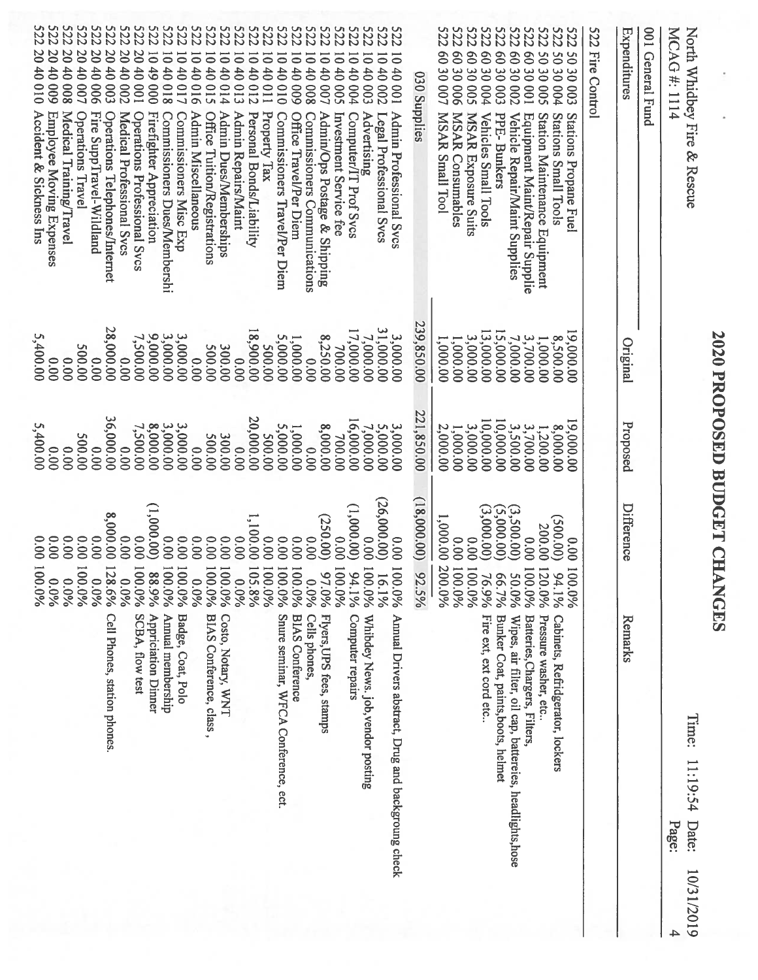| <b>S22</b><br>5222<br>5222<br><b>S22</b><br><b>S22</b><br><b>S22</b><br><b>222</b><br><b>S222</b><br><b>S22</b><br><b>S22</b><br><b>S22</b><br><b>522</b><br><b>S22</b><br><b>522</b><br><b>S22</b><br><b>S22</b><br><b>S22</b><br><b>S22</b><br><b>S22</b><br><b>522</b><br><b>522</b><br><b>522</b><br><b>S222</b><br>5222<br>5222<br><b>522</b><br><b>522</b><br><b>S22</b><br><b>5222</b><br>5222<br><b>522</b><br>522 Fire Control<br>001 General Fund<br>Expenditures<br>20 40 009<br>20 40 010<br>20 40 008<br>20 40<br>20 40<br>20 40<br>20 40<br>20 40<br>60 30 007<br>$\overline{0}9$<br>$\overline{8}$<br>$\overline{0}$<br>60 30 001<br>$\infty$<br>$\overline{0}$<br>$\infty$<br>9S<br>ōÏ<br>50 30 005<br>ō<br>SO<br>៑<br>៑<br>$\overline{\circ}$<br>10401<br>04 01<br>៑<br>៑<br>$\overline{\bullet}$<br>$\overline{\circ}$<br>៑<br>$\overline{0}$<br>$\overline{\circ}$<br>$\overline{\circ}$<br>1040002<br>$\overline{\bullet}$<br>49<br>40 017<br>40<br>40<br>40<br>40<br>10001<br>30 003<br><b>30002</b><br>30 004<br>40<br>40<br>40 <sup>1</sup><br>$\ddot{\theta}$<br>40<br>$\ddot{0}$<br>40 <sup>1</sup><br>30006<br><b>30005</b><br>30004<br>40<br>30003<br>030 Supplies<br>001<br>900<br><b>COO</b><br>100<br>$\overline{510}$<br><b>COO</b><br>000<br>810<br>910<br>014<br><b>013</b><br>012<br>010<br>003<br>II <sub>0</sub><br>600<br>800<br><b>007</b><br>500<br><b>004</b><br>Accident & Sickness Ins<br>Employee Moving Expenses<br>Medical Training/Travel<br>Fire SuppTravel-Wildland<br>Operations Telephones/Internet<br>Firefighter Appreciation<br><b>MSAR Small Tool</b><br>Operations Travel<br>Medical Professional Svcs<br>Operations Professional Svcs<br>Property Tax<br>Admin Miscellaneous<br>Office Tuition/Registrations<br>Admin Dues/Memberships<br>Admin Repairs/Maint<br>Office Travel/Per Diem<br>Admin/Ops Postage & Shipping<br>Advertising<br>Admin Professional Svcs<br><b>MSAR Consumables</b><br>Vehicles Small Tools<br>Vehicle Repair/Maint Supplies<br>Personal Bonds/Liability<br>Commissioners Travel/Per Diem<br><b>MSAR Exposure Suits</b><br>Station Maintenance Equipment<br>Investment Service fee<br>Computer/IT Prof Svcs<br>PPE-Bunkers<br>Stations Small Tools<br>Stations Propane Fuel<br>Commissioners Dues/Membershi<br>Commissioners Misc Exp<br>Commissioners Communications<br>Legal Professional Svcs<br>Equipment Maint/Repair Supplie<br>239,850.00<br>28,000.00<br>31,000.00<br>18,900.00<br>17,000.00<br>13,000.00<br>15,000.00<br>00'000'61<br>3,000.00<br>7,000.00<br>7,500.00<br>9,000.00<br>3,000.00<br>5,400.00<br>8,250.00<br>3,000.00<br>5,000.00<br>3,000.00<br>7,000.00<br>8,500.00<br>3,700.00<br>1,000.00<br>1,000.00<br>1,000.00<br>1,000.00<br>Original<br>200.00<br>700.00<br>200.00<br>00'005<br>300.00<br>00.00<br>00.00<br>0.00<br>0.00<br>0.000<br>0.00<br>00.00<br>221,850.00<br>36,000.00<br>20,000.00<br>16,000.00<br>10,000.00<br>10,000.00<br>00'000'61<br>Proposed<br>8,000.00<br>3,000.00<br>3,000.00<br>5,000.00<br>7,000.00<br>5,400.00<br>7,500.00<br>3,500.00<br>5,000.00<br>8,000.00<br>3,000.00<br>3,000.00<br>2,000.00<br>3,700.00<br>8,000.00<br>1,000.00<br>1,000.00<br>1,200.00<br>200.00<br>700.00<br>00'005<br><b>500.00</b><br>300.00<br>0.000<br>0.00<br>0.00<br>0.000<br>0.00<br>0.00<br>0.00<br>(18,000.00)<br>(26,000.00)<br>(1,000.000)<br><b>Difference</b><br>(1,000.00)<br>(3,000.00)<br>$(3,500.00)$<br>(5,000.00)<br>8,000.00<br>1,100.00<br>(250.00)<br>(00.005)<br>1,000.000<br>200.00<br>0.00<br>0.00<br>0.00<br>0.00<br>0.00<br>0.00<br>00.00<br>00'0<br>00.00<br>0.00<br>00.00<br>0.00<br>0.00<br>00.00<br>00.00<br>0.00<br>00.00<br>00.00<br>00.00<br>0.00<br>0.00<br>0.00<br>0.00<br>0.00<br>100.0%<br>100.0%<br>100.0%<br>100.0%<br>100.0%<br>100.0%<br>100.0%<br>105.8%<br>200.0%<br>128.6%<br>100.0%<br>100.0%<br>100.0%<br>100<br>100.0%<br>100.0%<br>$\overline{5}$<br>100.0%<br>$\overline{21}$<br>100.0%<br>$\overline{5}$<br>92.5%<br>88.9%<br>100.0%<br>94.1%<br>94.196<br>97.0%<br>16.1%<br>76.9%<br>66.7%<br>Σú<br>0.0%<br>0.0%<br>960'0<br>0.0%<br>0.0%<br>$0.0\%$<br>0.0%<br>$0.0\%$<br>$0.0\%$<br>$0.0\%$<br>$0.0\%$<br>SCBA, flow test<br>Flyers, UPS fees, stamps<br>Cell Phones, station phones.<br><b>Appriciation Dinner</b><br>Annual membership<br>Badge, Coat, Polo<br>Costo, Notary, WNT<br>Whibdey News. job, vendor posting<br>Annual Drivers abstract, Drug and backgroung check<br>BIAS Conference, class,<br><b>Cells phones</b><br>Computer repairs<br>Fire ext, ext cord etc<br>Snure seminar, WFCA Conference, ect.<br><b>BIAS Conference</b><br>Bunker Coat, paints, boots, helmet<br>Pressure washer, etc.<br>Batteries, Chargers, Filters,<br>Wipes, air filter, oil cap, battereies, headlights, hose<br>Remarks<br>Cabinets, Refridgerator, lockers | MCAG#:1114<br>North Whidbey Fire & Rescue |  | Time:<br>11:19:54<br>Date:<br>Page:<br>10/31/2019 |
|--------------------------------------------------------------------------------------------------------------------------------------------------------------------------------------------------------------------------------------------------------------------------------------------------------------------------------------------------------------------------------------------------------------------------------------------------------------------------------------------------------------------------------------------------------------------------------------------------------------------------------------------------------------------------------------------------------------------------------------------------------------------------------------------------------------------------------------------------------------------------------------------------------------------------------------------------------------------------------------------------------------------------------------------------------------------------------------------------------------------------------------------------------------------------------------------------------------------------------------------------------------------------------------------------------------------------------------------------------------------------------------------------------------------------------------------------------------------------------------------------------------------------------------------------------------------------------------------------------------------------------------------------------------------------------------------------------------------------------------------------------------------------------------------------------------------------------------------------------------------------------------------------------------------------------------------------------------------------------------------------------------------------------------------------------------------------------------------------------------------------------------------------------------------------------------------------------------------------------------------------------------------------------------------------------------------------------------------------------------------------------------------------------------------------------------------------------------------------------------------------------------------------------------------------------------------------------------------------------------------------------------------------------------------------------------------------------------------------------------------------------------------------------------------------------------------------------------------------------------------------------------------------------------------------------------------------------------------------------------------------------------------------------------------------------------------------------------------------------------------------------------------------------------------------------------------------------------------------------------------------------------------------------------------------------------------------------------------------------------------------------------------------------------------------------------------------------------------------------------------------------------------------------------------------------------------------------------------------------------------------------------------------------------------------------------------------------------------------------------------------------------------------------------------------------------------------------------------------------------------------------------------------------------------------------------------------------------------------------------------------------------------------------------------------------------------------------------------------------------------------------------------------------------------------------------------------------------------------------------------------------------------------------------------------------------------------------------------------------------------------------------------------------------------------------------------------------------------------------------------------------------------------------------------------------------------------------------------------------------------------------------------------------------------------------------------------------------------------------------------------------------------------------------------------------------------------------|-------------------------------------------|--|---------------------------------------------------|
|                                                                                                                                                                                                                                                                                                                                                                                                                                                                                                                                                                                                                                                                                                                                                                                                                                                                                                                                                                                                                                                                                                                                                                                                                                                                                                                                                                                                                                                                                                                                                                                                                                                                                                                                                                                                                                                                                                                                                                                                                                                                                                                                                                                                                                                                                                                                                                                                                                                                                                                                                                                                                                                                                                                                                                                                                                                                                                                                                                                                                                                                                                                                                                                                                                                                                                                                                                                                                                                                                                                                                                                                                                                                                                                                                                                                                                                                                                                                                                                                                                                                                                                                                                                                                                                                                                                                                                                                                                                                                                                                                                                                                                                                                                                                                                                                                                |                                           |  |                                                   |
|                                                                                                                                                                                                                                                                                                                                                                                                                                                                                                                                                                                                                                                                                                                                                                                                                                                                                                                                                                                                                                                                                                                                                                                                                                                                                                                                                                                                                                                                                                                                                                                                                                                                                                                                                                                                                                                                                                                                                                                                                                                                                                                                                                                                                                                                                                                                                                                                                                                                                                                                                                                                                                                                                                                                                                                                                                                                                                                                                                                                                                                                                                                                                                                                                                                                                                                                                                                                                                                                                                                                                                                                                                                                                                                                                                                                                                                                                                                                                                                                                                                                                                                                                                                                                                                                                                                                                                                                                                                                                                                                                                                                                                                                                                                                                                                                                                |                                           |  |                                                   |
|                                                                                                                                                                                                                                                                                                                                                                                                                                                                                                                                                                                                                                                                                                                                                                                                                                                                                                                                                                                                                                                                                                                                                                                                                                                                                                                                                                                                                                                                                                                                                                                                                                                                                                                                                                                                                                                                                                                                                                                                                                                                                                                                                                                                                                                                                                                                                                                                                                                                                                                                                                                                                                                                                                                                                                                                                                                                                                                                                                                                                                                                                                                                                                                                                                                                                                                                                                                                                                                                                                                                                                                                                                                                                                                                                                                                                                                                                                                                                                                                                                                                                                                                                                                                                                                                                                                                                                                                                                                                                                                                                                                                                                                                                                                                                                                                                                |                                           |  |                                                   |
|                                                                                                                                                                                                                                                                                                                                                                                                                                                                                                                                                                                                                                                                                                                                                                                                                                                                                                                                                                                                                                                                                                                                                                                                                                                                                                                                                                                                                                                                                                                                                                                                                                                                                                                                                                                                                                                                                                                                                                                                                                                                                                                                                                                                                                                                                                                                                                                                                                                                                                                                                                                                                                                                                                                                                                                                                                                                                                                                                                                                                                                                                                                                                                                                                                                                                                                                                                                                                                                                                                                                                                                                                                                                                                                                                                                                                                                                                                                                                                                                                                                                                                                                                                                                                                                                                                                                                                                                                                                                                                                                                                                                                                                                                                                                                                                                                                |                                           |  |                                                   |
|                                                                                                                                                                                                                                                                                                                                                                                                                                                                                                                                                                                                                                                                                                                                                                                                                                                                                                                                                                                                                                                                                                                                                                                                                                                                                                                                                                                                                                                                                                                                                                                                                                                                                                                                                                                                                                                                                                                                                                                                                                                                                                                                                                                                                                                                                                                                                                                                                                                                                                                                                                                                                                                                                                                                                                                                                                                                                                                                                                                                                                                                                                                                                                                                                                                                                                                                                                                                                                                                                                                                                                                                                                                                                                                                                                                                                                                                                                                                                                                                                                                                                                                                                                                                                                                                                                                                                                                                                                                                                                                                                                                                                                                                                                                                                                                                                                |                                           |  |                                                   |
|                                                                                                                                                                                                                                                                                                                                                                                                                                                                                                                                                                                                                                                                                                                                                                                                                                                                                                                                                                                                                                                                                                                                                                                                                                                                                                                                                                                                                                                                                                                                                                                                                                                                                                                                                                                                                                                                                                                                                                                                                                                                                                                                                                                                                                                                                                                                                                                                                                                                                                                                                                                                                                                                                                                                                                                                                                                                                                                                                                                                                                                                                                                                                                                                                                                                                                                                                                                                                                                                                                                                                                                                                                                                                                                                                                                                                                                                                                                                                                                                                                                                                                                                                                                                                                                                                                                                                                                                                                                                                                                                                                                                                                                                                                                                                                                                                                |                                           |  |                                                   |
|                                                                                                                                                                                                                                                                                                                                                                                                                                                                                                                                                                                                                                                                                                                                                                                                                                                                                                                                                                                                                                                                                                                                                                                                                                                                                                                                                                                                                                                                                                                                                                                                                                                                                                                                                                                                                                                                                                                                                                                                                                                                                                                                                                                                                                                                                                                                                                                                                                                                                                                                                                                                                                                                                                                                                                                                                                                                                                                                                                                                                                                                                                                                                                                                                                                                                                                                                                                                                                                                                                                                                                                                                                                                                                                                                                                                                                                                                                                                                                                                                                                                                                                                                                                                                                                                                                                                                                                                                                                                                                                                                                                                                                                                                                                                                                                                                                |                                           |  |                                                   |
|                                                                                                                                                                                                                                                                                                                                                                                                                                                                                                                                                                                                                                                                                                                                                                                                                                                                                                                                                                                                                                                                                                                                                                                                                                                                                                                                                                                                                                                                                                                                                                                                                                                                                                                                                                                                                                                                                                                                                                                                                                                                                                                                                                                                                                                                                                                                                                                                                                                                                                                                                                                                                                                                                                                                                                                                                                                                                                                                                                                                                                                                                                                                                                                                                                                                                                                                                                                                                                                                                                                                                                                                                                                                                                                                                                                                                                                                                                                                                                                                                                                                                                                                                                                                                                                                                                                                                                                                                                                                                                                                                                                                                                                                                                                                                                                                                                |                                           |  |                                                   |
|                                                                                                                                                                                                                                                                                                                                                                                                                                                                                                                                                                                                                                                                                                                                                                                                                                                                                                                                                                                                                                                                                                                                                                                                                                                                                                                                                                                                                                                                                                                                                                                                                                                                                                                                                                                                                                                                                                                                                                                                                                                                                                                                                                                                                                                                                                                                                                                                                                                                                                                                                                                                                                                                                                                                                                                                                                                                                                                                                                                                                                                                                                                                                                                                                                                                                                                                                                                                                                                                                                                                                                                                                                                                                                                                                                                                                                                                                                                                                                                                                                                                                                                                                                                                                                                                                                                                                                                                                                                                                                                                                                                                                                                                                                                                                                                                                                |                                           |  |                                                   |
|                                                                                                                                                                                                                                                                                                                                                                                                                                                                                                                                                                                                                                                                                                                                                                                                                                                                                                                                                                                                                                                                                                                                                                                                                                                                                                                                                                                                                                                                                                                                                                                                                                                                                                                                                                                                                                                                                                                                                                                                                                                                                                                                                                                                                                                                                                                                                                                                                                                                                                                                                                                                                                                                                                                                                                                                                                                                                                                                                                                                                                                                                                                                                                                                                                                                                                                                                                                                                                                                                                                                                                                                                                                                                                                                                                                                                                                                                                                                                                                                                                                                                                                                                                                                                                                                                                                                                                                                                                                                                                                                                                                                                                                                                                                                                                                                                                |                                           |  |                                                   |
|                                                                                                                                                                                                                                                                                                                                                                                                                                                                                                                                                                                                                                                                                                                                                                                                                                                                                                                                                                                                                                                                                                                                                                                                                                                                                                                                                                                                                                                                                                                                                                                                                                                                                                                                                                                                                                                                                                                                                                                                                                                                                                                                                                                                                                                                                                                                                                                                                                                                                                                                                                                                                                                                                                                                                                                                                                                                                                                                                                                                                                                                                                                                                                                                                                                                                                                                                                                                                                                                                                                                                                                                                                                                                                                                                                                                                                                                                                                                                                                                                                                                                                                                                                                                                                                                                                                                                                                                                                                                                                                                                                                                                                                                                                                                                                                                                                |                                           |  |                                                   |
|                                                                                                                                                                                                                                                                                                                                                                                                                                                                                                                                                                                                                                                                                                                                                                                                                                                                                                                                                                                                                                                                                                                                                                                                                                                                                                                                                                                                                                                                                                                                                                                                                                                                                                                                                                                                                                                                                                                                                                                                                                                                                                                                                                                                                                                                                                                                                                                                                                                                                                                                                                                                                                                                                                                                                                                                                                                                                                                                                                                                                                                                                                                                                                                                                                                                                                                                                                                                                                                                                                                                                                                                                                                                                                                                                                                                                                                                                                                                                                                                                                                                                                                                                                                                                                                                                                                                                                                                                                                                                                                                                                                                                                                                                                                                                                                                                                |                                           |  |                                                   |
|                                                                                                                                                                                                                                                                                                                                                                                                                                                                                                                                                                                                                                                                                                                                                                                                                                                                                                                                                                                                                                                                                                                                                                                                                                                                                                                                                                                                                                                                                                                                                                                                                                                                                                                                                                                                                                                                                                                                                                                                                                                                                                                                                                                                                                                                                                                                                                                                                                                                                                                                                                                                                                                                                                                                                                                                                                                                                                                                                                                                                                                                                                                                                                                                                                                                                                                                                                                                                                                                                                                                                                                                                                                                                                                                                                                                                                                                                                                                                                                                                                                                                                                                                                                                                                                                                                                                                                                                                                                                                                                                                                                                                                                                                                                                                                                                                                |                                           |  |                                                   |
|                                                                                                                                                                                                                                                                                                                                                                                                                                                                                                                                                                                                                                                                                                                                                                                                                                                                                                                                                                                                                                                                                                                                                                                                                                                                                                                                                                                                                                                                                                                                                                                                                                                                                                                                                                                                                                                                                                                                                                                                                                                                                                                                                                                                                                                                                                                                                                                                                                                                                                                                                                                                                                                                                                                                                                                                                                                                                                                                                                                                                                                                                                                                                                                                                                                                                                                                                                                                                                                                                                                                                                                                                                                                                                                                                                                                                                                                                                                                                                                                                                                                                                                                                                                                                                                                                                                                                                                                                                                                                                                                                                                                                                                                                                                                                                                                                                |                                           |  |                                                   |
|                                                                                                                                                                                                                                                                                                                                                                                                                                                                                                                                                                                                                                                                                                                                                                                                                                                                                                                                                                                                                                                                                                                                                                                                                                                                                                                                                                                                                                                                                                                                                                                                                                                                                                                                                                                                                                                                                                                                                                                                                                                                                                                                                                                                                                                                                                                                                                                                                                                                                                                                                                                                                                                                                                                                                                                                                                                                                                                                                                                                                                                                                                                                                                                                                                                                                                                                                                                                                                                                                                                                                                                                                                                                                                                                                                                                                                                                                                                                                                                                                                                                                                                                                                                                                                                                                                                                                                                                                                                                                                                                                                                                                                                                                                                                                                                                                                |                                           |  |                                                   |
|                                                                                                                                                                                                                                                                                                                                                                                                                                                                                                                                                                                                                                                                                                                                                                                                                                                                                                                                                                                                                                                                                                                                                                                                                                                                                                                                                                                                                                                                                                                                                                                                                                                                                                                                                                                                                                                                                                                                                                                                                                                                                                                                                                                                                                                                                                                                                                                                                                                                                                                                                                                                                                                                                                                                                                                                                                                                                                                                                                                                                                                                                                                                                                                                                                                                                                                                                                                                                                                                                                                                                                                                                                                                                                                                                                                                                                                                                                                                                                                                                                                                                                                                                                                                                                                                                                                                                                                                                                                                                                                                                                                                                                                                                                                                                                                                                                |                                           |  |                                                   |
|                                                                                                                                                                                                                                                                                                                                                                                                                                                                                                                                                                                                                                                                                                                                                                                                                                                                                                                                                                                                                                                                                                                                                                                                                                                                                                                                                                                                                                                                                                                                                                                                                                                                                                                                                                                                                                                                                                                                                                                                                                                                                                                                                                                                                                                                                                                                                                                                                                                                                                                                                                                                                                                                                                                                                                                                                                                                                                                                                                                                                                                                                                                                                                                                                                                                                                                                                                                                                                                                                                                                                                                                                                                                                                                                                                                                                                                                                                                                                                                                                                                                                                                                                                                                                                                                                                                                                                                                                                                                                                                                                                                                                                                                                                                                                                                                                                |                                           |  |                                                   |
|                                                                                                                                                                                                                                                                                                                                                                                                                                                                                                                                                                                                                                                                                                                                                                                                                                                                                                                                                                                                                                                                                                                                                                                                                                                                                                                                                                                                                                                                                                                                                                                                                                                                                                                                                                                                                                                                                                                                                                                                                                                                                                                                                                                                                                                                                                                                                                                                                                                                                                                                                                                                                                                                                                                                                                                                                                                                                                                                                                                                                                                                                                                                                                                                                                                                                                                                                                                                                                                                                                                                                                                                                                                                                                                                                                                                                                                                                                                                                                                                                                                                                                                                                                                                                                                                                                                                                                                                                                                                                                                                                                                                                                                                                                                                                                                                                                |                                           |  |                                                   |
|                                                                                                                                                                                                                                                                                                                                                                                                                                                                                                                                                                                                                                                                                                                                                                                                                                                                                                                                                                                                                                                                                                                                                                                                                                                                                                                                                                                                                                                                                                                                                                                                                                                                                                                                                                                                                                                                                                                                                                                                                                                                                                                                                                                                                                                                                                                                                                                                                                                                                                                                                                                                                                                                                                                                                                                                                                                                                                                                                                                                                                                                                                                                                                                                                                                                                                                                                                                                                                                                                                                                                                                                                                                                                                                                                                                                                                                                                                                                                                                                                                                                                                                                                                                                                                                                                                                                                                                                                                                                                                                                                                                                                                                                                                                                                                                                                                |                                           |  |                                                   |
|                                                                                                                                                                                                                                                                                                                                                                                                                                                                                                                                                                                                                                                                                                                                                                                                                                                                                                                                                                                                                                                                                                                                                                                                                                                                                                                                                                                                                                                                                                                                                                                                                                                                                                                                                                                                                                                                                                                                                                                                                                                                                                                                                                                                                                                                                                                                                                                                                                                                                                                                                                                                                                                                                                                                                                                                                                                                                                                                                                                                                                                                                                                                                                                                                                                                                                                                                                                                                                                                                                                                                                                                                                                                                                                                                                                                                                                                                                                                                                                                                                                                                                                                                                                                                                                                                                                                                                                                                                                                                                                                                                                                                                                                                                                                                                                                                                |                                           |  |                                                   |
|                                                                                                                                                                                                                                                                                                                                                                                                                                                                                                                                                                                                                                                                                                                                                                                                                                                                                                                                                                                                                                                                                                                                                                                                                                                                                                                                                                                                                                                                                                                                                                                                                                                                                                                                                                                                                                                                                                                                                                                                                                                                                                                                                                                                                                                                                                                                                                                                                                                                                                                                                                                                                                                                                                                                                                                                                                                                                                                                                                                                                                                                                                                                                                                                                                                                                                                                                                                                                                                                                                                                                                                                                                                                                                                                                                                                                                                                                                                                                                                                                                                                                                                                                                                                                                                                                                                                                                                                                                                                                                                                                                                                                                                                                                                                                                                                                                |                                           |  |                                                   |
|                                                                                                                                                                                                                                                                                                                                                                                                                                                                                                                                                                                                                                                                                                                                                                                                                                                                                                                                                                                                                                                                                                                                                                                                                                                                                                                                                                                                                                                                                                                                                                                                                                                                                                                                                                                                                                                                                                                                                                                                                                                                                                                                                                                                                                                                                                                                                                                                                                                                                                                                                                                                                                                                                                                                                                                                                                                                                                                                                                                                                                                                                                                                                                                                                                                                                                                                                                                                                                                                                                                                                                                                                                                                                                                                                                                                                                                                                                                                                                                                                                                                                                                                                                                                                                                                                                                                                                                                                                                                                                                                                                                                                                                                                                                                                                                                                                |                                           |  |                                                   |
|                                                                                                                                                                                                                                                                                                                                                                                                                                                                                                                                                                                                                                                                                                                                                                                                                                                                                                                                                                                                                                                                                                                                                                                                                                                                                                                                                                                                                                                                                                                                                                                                                                                                                                                                                                                                                                                                                                                                                                                                                                                                                                                                                                                                                                                                                                                                                                                                                                                                                                                                                                                                                                                                                                                                                                                                                                                                                                                                                                                                                                                                                                                                                                                                                                                                                                                                                                                                                                                                                                                                                                                                                                                                                                                                                                                                                                                                                                                                                                                                                                                                                                                                                                                                                                                                                                                                                                                                                                                                                                                                                                                                                                                                                                                                                                                                                                |                                           |  |                                                   |
|                                                                                                                                                                                                                                                                                                                                                                                                                                                                                                                                                                                                                                                                                                                                                                                                                                                                                                                                                                                                                                                                                                                                                                                                                                                                                                                                                                                                                                                                                                                                                                                                                                                                                                                                                                                                                                                                                                                                                                                                                                                                                                                                                                                                                                                                                                                                                                                                                                                                                                                                                                                                                                                                                                                                                                                                                                                                                                                                                                                                                                                                                                                                                                                                                                                                                                                                                                                                                                                                                                                                                                                                                                                                                                                                                                                                                                                                                                                                                                                                                                                                                                                                                                                                                                                                                                                                                                                                                                                                                                                                                                                                                                                                                                                                                                                                                                |                                           |  |                                                   |
|                                                                                                                                                                                                                                                                                                                                                                                                                                                                                                                                                                                                                                                                                                                                                                                                                                                                                                                                                                                                                                                                                                                                                                                                                                                                                                                                                                                                                                                                                                                                                                                                                                                                                                                                                                                                                                                                                                                                                                                                                                                                                                                                                                                                                                                                                                                                                                                                                                                                                                                                                                                                                                                                                                                                                                                                                                                                                                                                                                                                                                                                                                                                                                                                                                                                                                                                                                                                                                                                                                                                                                                                                                                                                                                                                                                                                                                                                                                                                                                                                                                                                                                                                                                                                                                                                                                                                                                                                                                                                                                                                                                                                                                                                                                                                                                                                                |                                           |  |                                                   |
|                                                                                                                                                                                                                                                                                                                                                                                                                                                                                                                                                                                                                                                                                                                                                                                                                                                                                                                                                                                                                                                                                                                                                                                                                                                                                                                                                                                                                                                                                                                                                                                                                                                                                                                                                                                                                                                                                                                                                                                                                                                                                                                                                                                                                                                                                                                                                                                                                                                                                                                                                                                                                                                                                                                                                                                                                                                                                                                                                                                                                                                                                                                                                                                                                                                                                                                                                                                                                                                                                                                                                                                                                                                                                                                                                                                                                                                                                                                                                                                                                                                                                                                                                                                                                                                                                                                                                                                                                                                                                                                                                                                                                                                                                                                                                                                                                                |                                           |  |                                                   |
|                                                                                                                                                                                                                                                                                                                                                                                                                                                                                                                                                                                                                                                                                                                                                                                                                                                                                                                                                                                                                                                                                                                                                                                                                                                                                                                                                                                                                                                                                                                                                                                                                                                                                                                                                                                                                                                                                                                                                                                                                                                                                                                                                                                                                                                                                                                                                                                                                                                                                                                                                                                                                                                                                                                                                                                                                                                                                                                                                                                                                                                                                                                                                                                                                                                                                                                                                                                                                                                                                                                                                                                                                                                                                                                                                                                                                                                                                                                                                                                                                                                                                                                                                                                                                                                                                                                                                                                                                                                                                                                                                                                                                                                                                                                                                                                                                                |                                           |  |                                                   |
|                                                                                                                                                                                                                                                                                                                                                                                                                                                                                                                                                                                                                                                                                                                                                                                                                                                                                                                                                                                                                                                                                                                                                                                                                                                                                                                                                                                                                                                                                                                                                                                                                                                                                                                                                                                                                                                                                                                                                                                                                                                                                                                                                                                                                                                                                                                                                                                                                                                                                                                                                                                                                                                                                                                                                                                                                                                                                                                                                                                                                                                                                                                                                                                                                                                                                                                                                                                                                                                                                                                                                                                                                                                                                                                                                                                                                                                                                                                                                                                                                                                                                                                                                                                                                                                                                                                                                                                                                                                                                                                                                                                                                                                                                                                                                                                                                                |                                           |  |                                                   |
|                                                                                                                                                                                                                                                                                                                                                                                                                                                                                                                                                                                                                                                                                                                                                                                                                                                                                                                                                                                                                                                                                                                                                                                                                                                                                                                                                                                                                                                                                                                                                                                                                                                                                                                                                                                                                                                                                                                                                                                                                                                                                                                                                                                                                                                                                                                                                                                                                                                                                                                                                                                                                                                                                                                                                                                                                                                                                                                                                                                                                                                                                                                                                                                                                                                                                                                                                                                                                                                                                                                                                                                                                                                                                                                                                                                                                                                                                                                                                                                                                                                                                                                                                                                                                                                                                                                                                                                                                                                                                                                                                                                                                                                                                                                                                                                                                                |                                           |  |                                                   |
|                                                                                                                                                                                                                                                                                                                                                                                                                                                                                                                                                                                                                                                                                                                                                                                                                                                                                                                                                                                                                                                                                                                                                                                                                                                                                                                                                                                                                                                                                                                                                                                                                                                                                                                                                                                                                                                                                                                                                                                                                                                                                                                                                                                                                                                                                                                                                                                                                                                                                                                                                                                                                                                                                                                                                                                                                                                                                                                                                                                                                                                                                                                                                                                                                                                                                                                                                                                                                                                                                                                                                                                                                                                                                                                                                                                                                                                                                                                                                                                                                                                                                                                                                                                                                                                                                                                                                                                                                                                                                                                                                                                                                                                                                                                                                                                                                                |                                           |  |                                                   |

2020 PROPOSED BUDGET CHANGES

BUDGET

CHANGES

PROPOSED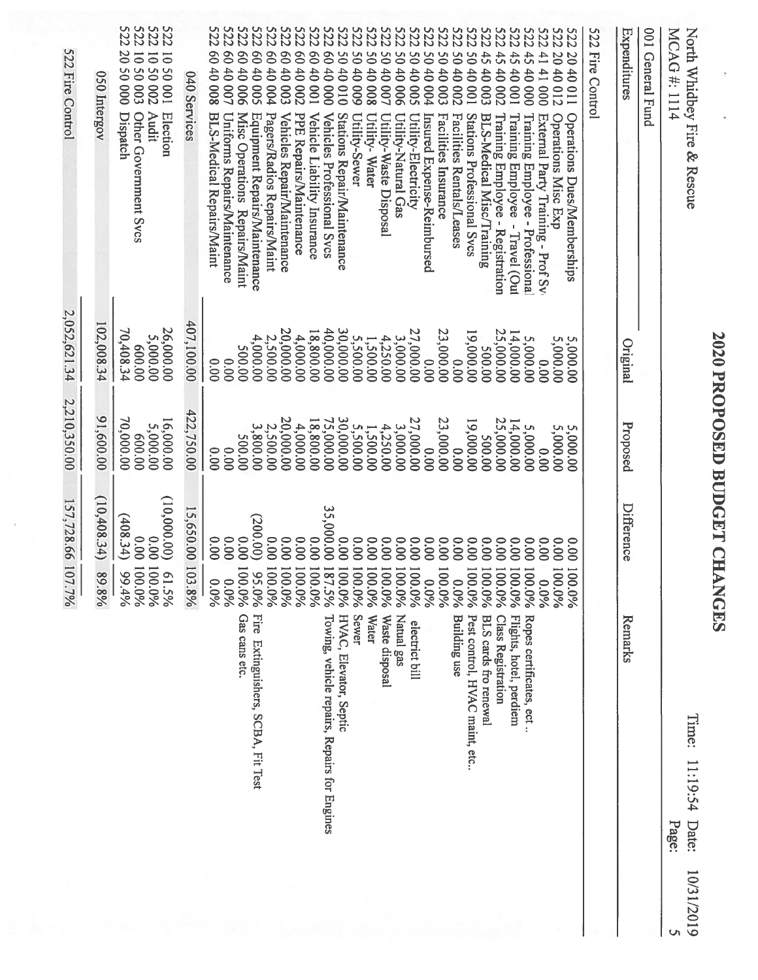|            |                                                                                                                                                                                                                                                                                                                                                       |                                                                                                                                                                                                                                                                                | 157,728.66 107.7%                                                                                                                                                                                               | 2,210,350.00                                                                                                                                                                                                                                                                                             | 2,052,621.34                                                                                                                                                                                                                                                                                                         | 522 Fire Control                                                                                                                                                                                                                                                                                                                                                                                                                                                                                                                                                                                                                                                                                                                                                                                                                                                                                                                                                                                                                                                                                                                                                                                                                                                                                                                                                                                                                                                                                                                                                                                                                                                      |
|------------|-------------------------------------------------------------------------------------------------------------------------------------------------------------------------------------------------------------------------------------------------------------------------------------------------------------------------------------------------------|--------------------------------------------------------------------------------------------------------------------------------------------------------------------------------------------------------------------------------------------------------------------------------|-----------------------------------------------------------------------------------------------------------------------------------------------------------------------------------------------------------------|----------------------------------------------------------------------------------------------------------------------------------------------------------------------------------------------------------------------------------------------------------------------------------------------------------|----------------------------------------------------------------------------------------------------------------------------------------------------------------------------------------------------------------------------------------------------------------------------------------------------------------------|-----------------------------------------------------------------------------------------------------------------------------------------------------------------------------------------------------------------------------------------------------------------------------------------------------------------------------------------------------------------------------------------------------------------------------------------------------------------------------------------------------------------------------------------------------------------------------------------------------------------------------------------------------------------------------------------------------------------------------------------------------------------------------------------------------------------------------------------------------------------------------------------------------------------------------------------------------------------------------------------------------------------------------------------------------------------------------------------------------------------------------------------------------------------------------------------------------------------------------------------------------------------------------------------------------------------------------------------------------------------------------------------------------------------------------------------------------------------------------------------------------------------------------------------------------------------------------------------------------------------------------------------------------------------------|
|            |                                                                                                                                                                                                                                                                                                                                                       | 89.8%                                                                                                                                                                                                                                                                          | (10,408.34)                                                                                                                                                                                                     | 91,600.00                                                                                                                                                                                                                                                                                                | 102,008.34                                                                                                                                                                                                                                                                                                           | 050 Intergov                                                                                                                                                                                                                                                                                                                                                                                                                                                                                                                                                                                                                                                                                                                                                                                                                                                                                                                                                                                                                                                                                                                                                                                                                                                                                                                                                                                                                                                                                                                                                                                                                                                          |
|            |                                                                                                                                                                                                                                                                                                                                                       | 100.0%<br>$\overline{5}$<br>964,66<br>$\Omega$<br>$0.0\%$<br>1.5%                                                                                                                                                                                                              | (10,000.00)<br>(t5.804)<br>0.00<br>0.00                                                                                                                                                                         | 70,000.00<br>16,000.00<br>5,000.00<br>00'009                                                                                                                                                                                                                                                             | 26,000.00<br>70,408.34<br>5,000.00<br>00'009                                                                                                                                                                                                                                                                         | <b>522</b><br><b>S22</b><br><b>522</b><br>522<br>20 50 000<br>100 05 01<br>E00 0S 01<br>Z00 0S 01<br>Audit<br>Dispatch<br>Other Government Svcs<br>Election                                                                                                                                                                                                                                                                                                                                                                                                                                                                                                                                                                                                                                                                                                                                                                                                                                                                                                                                                                                                                                                                                                                                                                                                                                                                                                                                                                                                                                                                                                           |
|            |                                                                                                                                                                                                                                                                                                                                                       | 103.8%                                                                                                                                                                                                                                                                         | 15,650.00                                                                                                                                                                                                       | 422,750.00                                                                                                                                                                                                                                                                                               | 407,100.00                                                                                                                                                                                                                                                                                                           | 040 Services                                                                                                                                                                                                                                                                                                                                                                                                                                                                                                                                                                                                                                                                                                                                                                                                                                                                                                                                                                                                                                                                                                                                                                                                                                                                                                                                                                                                                                                                                                                                                                                                                                                          |
|            | Gas cans etc.<br>HVAC, Elevator, Septic<br>Waste disposal<br><b>Building use</b><br>Flights, hotel, perdiem<br>Towing, vehicle repairs, Repairs for Engines<br>Natual gas<br>Pest control, HVAC maint, etc<br>Ropes certificates, ect<br><b>BLS</b> cards fro renewal<br><b>Class Registration</b><br>electrict bill<br>Extinguishers, SCBA, Fit Test | 100.0%<br>100.0%<br>100.0%<br>100.0%<br>187.5%<br>100.0%<br>100.0%<br>100.0%<br>100.0%<br>100.0%<br>100.0%<br>100.0%<br>100.0%<br>100.0%<br>100.0%<br>100.0%<br>100.0%<br>100.0%<br>100.0%<br>95.0%<br>0.0%<br>960'0<br>0.0%<br>0.0%<br>960'0<br>Fire<br>Sewer<br><b>Water</b> | 35,000.00<br>(200.00)<br>0.00<br>0.00<br>0.00<br>0.00<br>0.00<br>0.00<br>0.00<br>0.00<br>0.00<br>0.00<br>0.00<br>0.00<br>0.00<br>00.00<br>0.00<br>0.00<br>0.00<br>0.00<br>0.00<br>00.00<br>0.00<br>0.00<br>0.00 | 20,000.00<br>75,000.00<br>30,000.00<br>27,000.00<br>23,000.00<br>25,000.00<br>19,000.00<br>18,800.00<br>14,000.00<br>4,000.00<br>2,500.00<br>5,000.00<br>3,800.00<br>5,500.00<br>3,000.00<br>4,250.00<br>1,500.00<br>5,000.00<br>5,000.00<br>200.00<br>500.00<br>0.00<br>0.000<br>00.00<br>00.00<br>0.00 | 20,000.00<br>40,000.00<br>27,000.00<br>30,000.00<br>23,000.00<br>25,000.00<br>18,800.00<br>19,000.00<br>14,000.00<br>4,000.00<br>2,500.00<br>4,000.00<br>5,500.00<br>$3,000.00$<br>$4,250.00$<br>$1,500.00$<br>5,000.00<br>5,000.00<br>5,000.00<br>200.00<br><b>500.00</b><br>0.000<br>0.00<br>00.00<br>0.00<br>0.00 | <b>522</b><br><b>522</b><br>222<br><b>S22</b><br>522<br><b>522</b><br>522<br><b>522</b><br><b>522</b><br><b>522</b><br>522<br>522<br><b>522</b><br><b>522</b><br><b>522</b><br><b>522</b><br>522<br><b>522</b><br><b>522</b><br>522<br><b>522</b><br><b>522</b><br><b>522</b><br><b>S22</b><br><b>522</b><br>800 00 008<br>00 40 007<br>900 00 09<br>$\overline{0}$<br>45<br>45<br>41<br>$\infty$<br>$\infty$<br>$\ddot{t}$<br>$\infty$<br>$\infty$<br>$\overline{0}$<br>$\mathcal{S}$<br>$\mathcal{S}$<br>SO<br>9S<br>9S<br>$\ddot{t}$<br>$\infty$<br>$\overline{0}$<br>9S<br>9S<br>9S<br>9S<br>40<br>40<br>40<br>140 012<br>40<br>400001<br>40000<br>40<br>6000\$<br>40 008<br><b>40006</b><br>$\overline{11}$<br>40<br>40 005<br>40<br>40<br>40002<br>40<br>40<br>00000<br>10001<br>40<br>600 <sub>3</sub><br>000<br><b>SOO</b><br>004<br>600<br>200<br>010<br>$-001$<br>004<br>100 <sub>1</sub><br>000<br>000<br>BLS-Medical Repairs/Maint<br>Uniforms Repairs/Maintenance<br>Misc Operations Repairs/Maint<br>PPE Repairs/Maintenance<br>Equipment Repairs/Maintenance<br>Vehicles Repair/Maintenance<br>Vehicle Liability Insurance<br>Stations Repair/Maintenance<br>Training Employee - Professional<br>Operations Misc Exp<br>Pagers/Radios Repairs/Maint<br>Vehicles Professional Svcs<br>Utility-Sewer<br>Utility-Waste Disposal<br>Utility- Water<br>Facilities Insurance<br>Stations Professional Svcs<br>Training Employee - Registration<br>External Party Training - Prof Sv<br>Utility-Natural Gas<br>Facilities Rentals/Leases<br>BLS-Medical Misc/Training<br>Training Employee - Travel (Out<br>Utility-Electricity<br>Insured Expense-Reimbursed |
|            |                                                                                                                                                                                                                                                                                                                                                       | 100.0%                                                                                                                                                                                                                                                                         | 0.00                                                                                                                                                                                                            |                                                                                                                                                                                                                                                                                                          |                                                                                                                                                                                                                                                                                                                      | 522<br>522 Fire Control<br>20<br>1001<br>Operations Dues/Memberships                                                                                                                                                                                                                                                                                                                                                                                                                                                                                                                                                                                                                                                                                                                                                                                                                                                                                                                                                                                                                                                                                                                                                                                                                                                                                                                                                                                                                                                                                                                                                                                                  |
|            | Remarks                                                                                                                                                                                                                                                                                                                                               |                                                                                                                                                                                                                                                                                | Difference                                                                                                                                                                                                      | Proposed                                                                                                                                                                                                                                                                                                 | Original                                                                                                                                                                                                                                                                                                             | Expenditures<br>001 General Fund                                                                                                                                                                                                                                                                                                                                                                                                                                                                                                                                                                                                                                                                                                                                                                                                                                                                                                                                                                                                                                                                                                                                                                                                                                                                                                                                                                                                                                                                                                                                                                                                                                      |
| 10/31/2019 | Time:<br>11:19:54 Date:<br>Page:                                                                                                                                                                                                                                                                                                                      |                                                                                                                                                                                                                                                                                |                                                                                                                                                                                                                 |                                                                                                                                                                                                                                                                                                          |                                                                                                                                                                                                                                                                                                                      | MCAG#:1114<br>North Whidbey Fire & Rescue                                                                                                                                                                                                                                                                                                                                                                                                                                                                                                                                                                                                                                                                                                                                                                                                                                                                                                                                                                                                                                                                                                                                                                                                                                                                                                                                                                                                                                                                                                                                                                                                                             |

2020 PROPOSED BUDGET CHANGES PROPOSED BUDGET CHANGES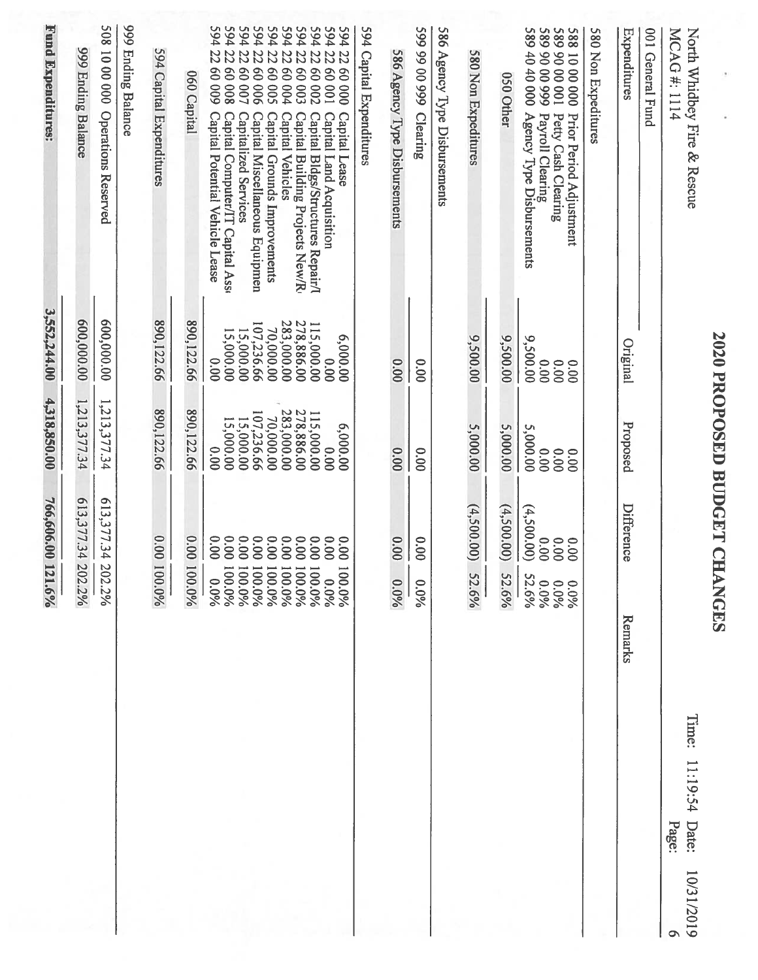|            |                                     |                                 | 766,606.00 121.6%                   | 4,318,850.00                         | 3,552,244.00                         | Fund Expenditures:                                                                                                                                      |
|------------|-------------------------------------|---------------------------------|-------------------------------------|--------------------------------------|--------------------------------------|---------------------------------------------------------------------------------------------------------------------------------------------------------|
|            |                                     | 02.2%                           | 613,377.34 2                        | 1,213,377.34                         | 600,000.00                           | 999 Ending Balance                                                                                                                                      |
|            |                                     | 02.2%                           | 613,377.34<br>$\tilde{\mathbf{z}}$  | 1,213,377.34                         | 600,000.00                           | 508 10 00 000 Operations Reserved                                                                                                                       |
|            |                                     |                                 |                                     |                                      |                                      | 999 Ending Balance                                                                                                                                      |
|            |                                     | 00.0%                           | 0.00 1                              | 890,122.66                           | 890,122.66                           | 594 Capital Expenditures                                                                                                                                |
|            |                                     | 100.0%                          | 0.00                                | 890,122.66                           | 890,122.66                           | 060 Capital                                                                                                                                             |
|            |                                     | 00.0%<br>0.0%                   | 0.00<br>0.00                        | 15,000.00<br>0.00                    | 15,000.00<br>0.00                    | 594<br>594<br>22<br>22<br>80008<br>60009<br><b>Capital Potential Vehicle Lease</b><br>Capital Computer/IT Capital Ass                                   |
|            |                                     | 00.0%<br>960'00                 | 0.00<br>0.00                        | 70,000.00<br>107,236.66<br>15,000.00 | 70,000.00<br>107,236.66<br>15,000.00 | 594<br>594<br>22<br>$\overline{z}$<br>90009<br>40000<br><b>Capitalized Services</b><br>Capital Miscellaneous Equipmen                                   |
|            |                                     | 00.0%<br>00.0%                  | 0.00<br>0.00                        | 283,000.00                           | 283,000.00                           | 594<br>22<br>S0009<br>Capital Grounds Improvements                                                                                                      |
|            |                                     | 00.0%                           | 0.00                                | 115,000.00<br>278,886.00             | 278,886.00                           | 594<br>594<br>22<br>22<br><b>40004</b><br>£0009<br><b>Capital Vehicles</b><br>Capital Building Projects New/R                                           |
|            |                                     | 00.0%<br>00.0%<br>0.0%          | 0.00<br>0.00<br>0.00                | 6,000.00<br>00.00                    | 115,000.00<br>6,000.00<br>00.00      | 594<br>594<br>194<br>22<br>22<br>22<br>00000<br><b>200 09</b><br>10009<br>Capital Bldgs/Structures Repair/<br>Capital Land Acquisition<br>Capital Lease |
|            |                                     |                                 |                                     |                                      |                                      | 594 Capital Expenditures                                                                                                                                |
|            |                                     | $0.0\%$                         | 0.00                                | 0.00                                 | 0.00                                 | 586 Agency Type Disbursements                                                                                                                           |
|            |                                     | 0.0%                            | 00.0                                | 00.00                                | 0.00                                 | 599 99 00 999 Clearing                                                                                                                                  |
|            |                                     |                                 |                                     |                                      |                                      | 586 Agency Type Disbursements                                                                                                                           |
|            |                                     | 52.6%                           | (4,500.00)                          | 5,000.00                             | 9,500.00                             | 580 Non Expeditures                                                                                                                                     |
|            |                                     | 52.6%                           | (4,500.000)                         | 5,000.00                             | 9,500.00                             | 050 Other                                                                                                                                               |
|            |                                     | 52.6%<br>960'0<br>0.0%<br>960'0 | (4,500.000)<br>0.00<br>0.00<br>0.00 | 5,000.00<br>0.00<br>0.00<br>0.00     | 9,500.00<br>0.00<br>0.00<br>00.00    | 000 040 000<br>Agency Type Disbursements<br>Payroll Clearing<br>Petty Cash Clearing<br>Prior Period Adjustment                                          |
|            |                                     |                                 |                                     |                                      |                                      | 580 Non Expeditures                                                                                                                                     |
|            |                                     | Remarks                         | Difference                          | Proposed                             | Original                             | Expenditures                                                                                                                                            |
|            |                                     |                                 |                                     |                                      |                                      | 001 General Fund                                                                                                                                        |
| 10/31/2019 | Time:<br>11:19:54<br>Date:<br>Page: |                                 |                                     |                                      |                                      | North Whidbey Fire & Rescue<br>MCAG#: 1114                                                                                                              |
|            |                                     |                                 |                                     | 2020 PROPOSED BUDGET CHANGES         |                                      |                                                                                                                                                         |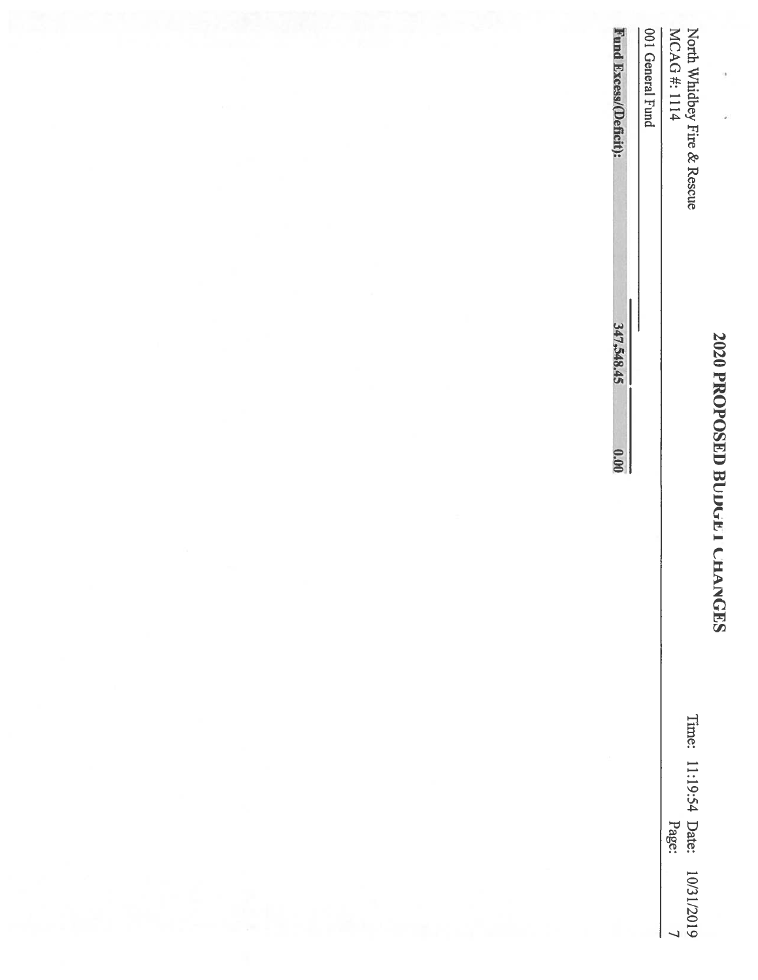| I                      |
|------------------------|
|                        |
|                        |
| j                      |
|                        |
|                        |
| $\mathbf{\mathcal{L}}$ |
| ļ                      |
|                        |
|                        |
| ا<br>ا                 |
|                        |
|                        |
|                        |
| đ                      |
|                        |
|                        |
|                        |
|                        |
|                        |
|                        |
|                        |
|                        |
|                        |
|                        |
|                        |
|                        |
|                        |
|                        |
|                        |
|                        |
|                        |
|                        |

Date: Page:

10/31/2019

|                | 0.00 | 347,548.45 | Fund Excess/(Deficit):     |
|----------------|------|------------|----------------------------|
|                |      |            | 001 General Fund           |
|                |      |            | MCAG#:1114                 |
| Time: 11:19:54 |      |            | Noth Whidbey Fire & Rescue |